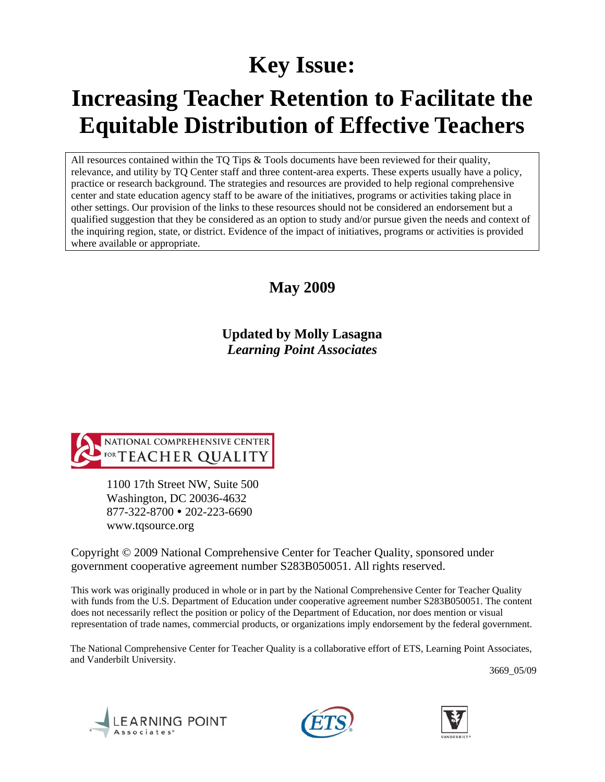# **Key Issue:**

# **Increasing Teacher Retention to Facilitate the Equitable Distribution of Effective Teachers**

All resources contained within the TQ Tips  $\&$  Tools documents have been reviewed for their quality, relevance, and utility by TQ Center staff and three content-area experts. These experts usually have a policy, practice or research background. The strategies and resources are provided to help regional comprehensive center and state education agency staff to be aware of the initiatives, programs or activities taking place in other settings. Our provision of the links to these resources should not be considered an endorsement but a qualified suggestion that they be considered as an option to study and/or pursue given the needs and context of the inquiring region, state, or district. Evidence of the impact of initiatives, programs or activities is provided where available or appropriate.

# **May 2009**

**Updated by Molly Lasagna**  *Learning Point Associates* 



1100 17th Street NW, Suite 500 Washington, DC 20036-4632 877-322-8700 • 202-223-6690 www.tqsource.org

Copyright © 2009 National Comprehensive Center for Teacher Quality, sponsored under government cooperative agreement number S283B050051. All rights reserved.

This work was originally produced in whole or in part by the National Comprehensive Center for Teacher Quality with funds from the U.S. Department of Education under cooperative agreement number S283B050051. The content does not necessarily reflect the position or policy of the Department of Education, nor does mention or visual representation of trade names, commercial products, or organizations imply endorsement by the federal government.

The National Comprehensive Center for Teacher Quality is a collaborative effort of ETS, Learning Point Associates, and Vanderbilt University.

3669\_05/09





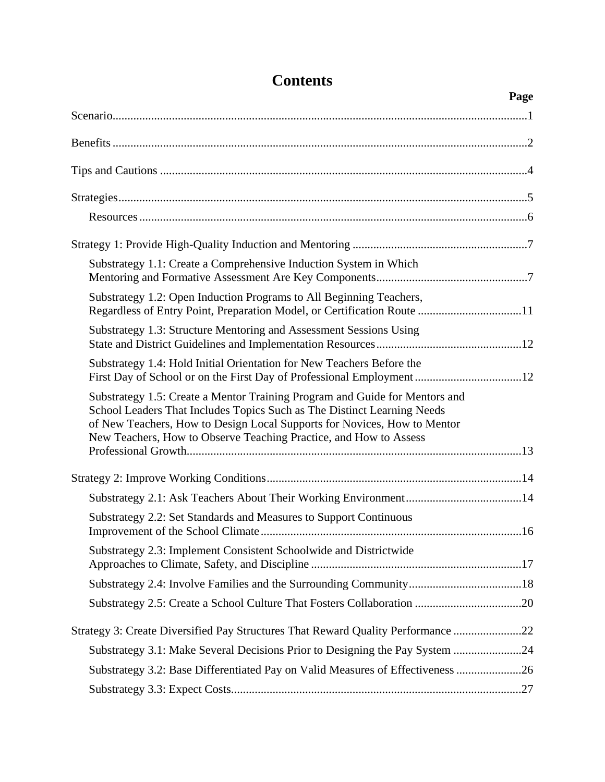|                                                                                                                                                                                                                                                                                                         | Page |
|---------------------------------------------------------------------------------------------------------------------------------------------------------------------------------------------------------------------------------------------------------------------------------------------------------|------|
|                                                                                                                                                                                                                                                                                                         |      |
|                                                                                                                                                                                                                                                                                                         |      |
|                                                                                                                                                                                                                                                                                                         |      |
|                                                                                                                                                                                                                                                                                                         |      |
|                                                                                                                                                                                                                                                                                                         |      |
|                                                                                                                                                                                                                                                                                                         |      |
| Substrategy 1.1: Create a Comprehensive Induction System in Which                                                                                                                                                                                                                                       |      |
| Substrategy 1.2: Open Induction Programs to All Beginning Teachers,<br>Regardless of Entry Point, Preparation Model, or Certification Route 11                                                                                                                                                          |      |
| Substrategy 1.3: Structure Mentoring and Assessment Sessions Using                                                                                                                                                                                                                                      |      |
| Substrategy 1.4: Hold Initial Orientation for New Teachers Before the<br>First Day of School or on the First Day of Professional Employment12                                                                                                                                                           |      |
| Substrategy 1.5: Create a Mentor Training Program and Guide for Mentors and<br>School Leaders That Includes Topics Such as The Distinct Learning Needs<br>of New Teachers, How to Design Local Supports for Novices, How to Mentor<br>New Teachers, How to Observe Teaching Practice, and How to Assess |      |
|                                                                                                                                                                                                                                                                                                         |      |
|                                                                                                                                                                                                                                                                                                         |      |
|                                                                                                                                                                                                                                                                                                         |      |
| Substrategy 2.2: Set Standards and Measures to Support Continuous                                                                                                                                                                                                                                       |      |
| Substrategy 2.3: Implement Consistent Schoolwide and Districtwide                                                                                                                                                                                                                                       |      |
|                                                                                                                                                                                                                                                                                                         |      |
| Substrategy 2.5: Create a School Culture That Fosters Collaboration 20                                                                                                                                                                                                                                  |      |
| Strategy 3: Create Diversified Pay Structures That Reward Quality Performance 22                                                                                                                                                                                                                        |      |
| Substrategy 3.1: Make Several Decisions Prior to Designing the Pay System 24                                                                                                                                                                                                                            |      |
| Substrategy 3.2: Base Differentiated Pay on Valid Measures of Effectiveness 26                                                                                                                                                                                                                          |      |
|                                                                                                                                                                                                                                                                                                         |      |

# **Contents**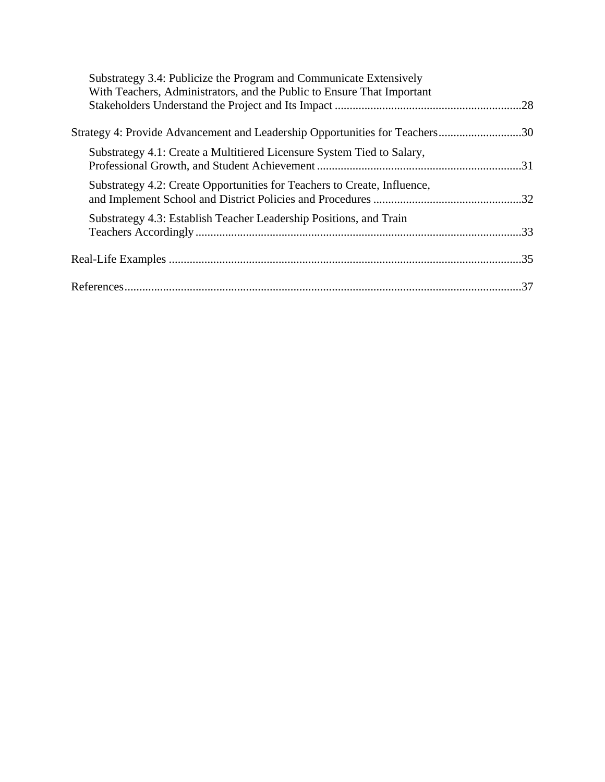| Substrategy 3.4: Publicize the Program and Communicate Extensively          |  |
|-----------------------------------------------------------------------------|--|
| With Teachers, Administrators, and the Public to Ensure That Important      |  |
|                                                                             |  |
| Strategy 4: Provide Advancement and Leadership Opportunities for Teachers30 |  |
| Substrategy 4.1: Create a Multitiered Licensure System Tied to Salary,      |  |
| Substrategy 4.2: Create Opportunities for Teachers to Create, Influence,    |  |
| Substrategy 4.3: Establish Teacher Leadership Positions, and Train          |  |
|                                                                             |  |
|                                                                             |  |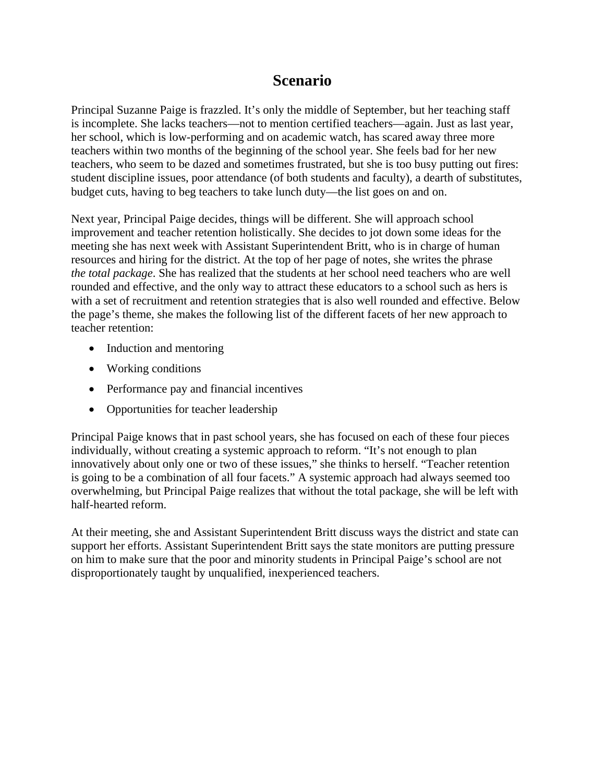# **Scenario**

Principal Suzanne Paige is frazzled. It's only the middle of September, but her teaching staff is incomplete. She lacks teachers—not to mention certified teachers—again. Just as last year, her school, which is low-performing and on academic watch, has scared away three more teachers within two months of the beginning of the school year. She feels bad for her new teachers, who seem to be dazed and sometimes frustrated, but she is too busy putting out fires: student discipline issues, poor attendance (of both students and faculty), a dearth of substitutes, budget cuts, having to beg teachers to take lunch duty—the list goes on and on.

Next year, Principal Paige decides, things will be different. She will approach school improvement and teacher retention holistically. She decides to jot down some ideas for the meeting she has next week with Assistant Superintendent Britt, who is in charge of human resources and hiring for the district. At the top of her page of notes, she writes the phrase *the total package*. She has realized that the students at her school need teachers who are well rounded and effective, and the only way to attract these educators to a school such as hers is with a set of recruitment and retention strategies that is also well rounded and effective. Below the page's theme, she makes the following list of the different facets of her new approach to teacher retention:

- Induction and mentoring
- Working conditions
- Performance pay and financial incentives
- Opportunities for teacher leadership

Principal Paige knows that in past school years, she has focused on each of these four pieces individually, without creating a systemic approach to reform. "It's not enough to plan innovatively about only one or two of these issues," she thinks to herself. "Teacher retention is going to be a combination of all four facets." A systemic approach had always seemed too overwhelming, but Principal Paige realizes that without the total package, she will be left with half-hearted reform.

At their meeting, she and Assistant Superintendent Britt discuss ways the district and state can support her efforts. Assistant Superintendent Britt says the state monitors are putting pressure on him to make sure that the poor and minority students in Principal Paige's school are not disproportionately taught by unqualified, inexperienced teachers.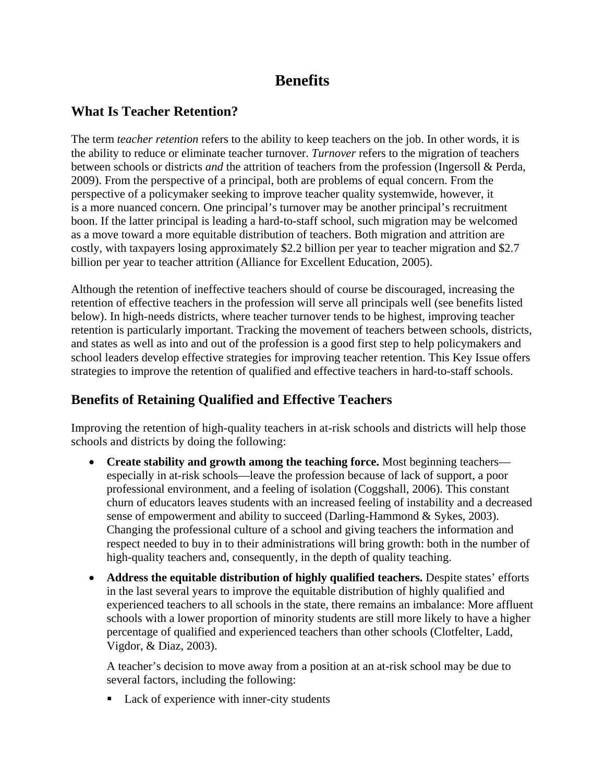# **Benefits**

## **What Is Teacher Retention?**

The term *teacher retention* refers to the ability to keep teachers on the job. In other words, it is the ability to reduce or eliminate teacher turnover. *Turnover* refers to the migration of teachers between schools or districts *and* the attrition of teachers from the profession (Ingersoll & Perda, 2009). From the perspective of a principal, both are problems of equal concern. From the perspective of a policymaker seeking to improve teacher quality systemwide, however, it is a more nuanced concern. One principal's turnover may be another principal's recruitment boon. If the latter principal is leading a hard-to-staff school, such migration may be welcomed as a move toward a more equitable distribution of teachers. Both migration and attrition are costly, with taxpayers losing approximately \$2.2 billion per year to teacher migration and \$2.7 billion per year to teacher attrition (Alliance for Excellent Education, 2005).

Although the retention of ineffective teachers should of course be discouraged, increasing the retention of effective teachers in the profession will serve all principals well (see benefits listed below). In high-needs districts, where teacher turnover tends to be highest, improving teacher retention is particularly important. Tracking the movement of teachers between schools, districts, and states as well as into and out of the profession is a good first step to help policymakers and school leaders develop effective strategies for improving teacher retention. This Key Issue offers strategies to improve the retention of qualified and effective teachers in hard-to-staff schools.

# **Benefits of Retaining Qualified and Effective Teachers**

Improving the retention of high-quality teachers in at-risk schools and districts will help those schools and districts by doing the following:

- **Create stability and growth among the teaching force.** Most beginning teachers especially in at-risk schools—leave the profession because of lack of support, a poor professional environment, and a feeling of isolation (Coggshall, 2006). This constant churn of educators leaves students with an increased feeling of instability and a decreased sense of empowerment and ability to succeed (Darling-Hammond & Sykes, 2003). Changing the professional culture of a school and giving teachers the information and respect needed to buy in to their administrations will bring growth: both in the number of high-quality teachers and, consequently, in the depth of quality teaching.
- **Address the equitable distribution of highly qualified teachers.** Despite states' efforts in the last several years to improve the equitable distribution of highly qualified and experienced teachers to all schools in the state, there remains an imbalance: More affluent schools with a lower proportion of minority students are still more likely to have a higher percentage of qualified and experienced teachers than other schools (Clotfelter, Ladd, Vigdor, & Diaz, 2003).

A teacher's decision to move away from a position at an at-risk school may be due to several factors, including the following:

• Lack of experience with inner-city students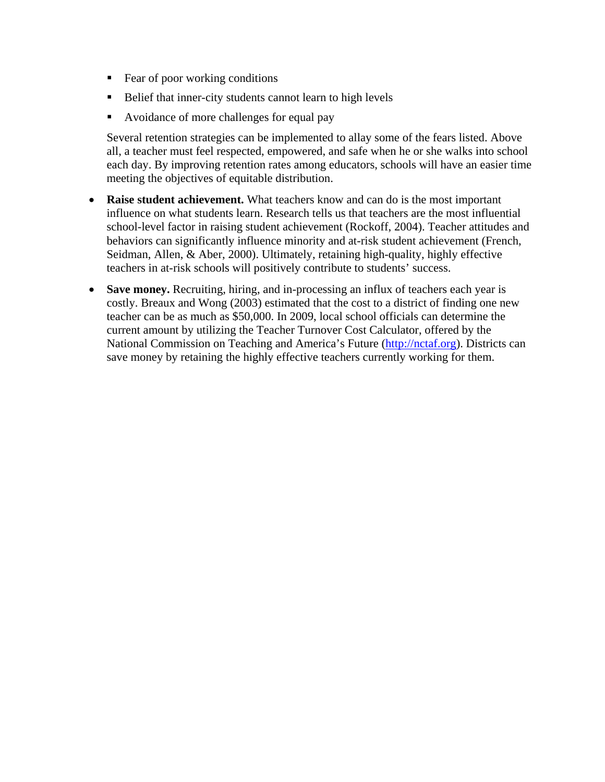- Fear of poor working conditions
- Belief that inner-city students cannot learn to high levels
- Avoidance of more challenges for equal pay

Several retention strategies can be implemented to allay some of the fears listed. Above all, a teacher must feel respected, empowered, and safe when he or she walks into school each day. By improving retention rates among educators, schools will have an easier time meeting the objectives of equitable distribution.

- **Raise student achievement.** What teachers know and can do is the most important influence on what students learn. Research tells us that teachers are the most influential school-level factor in raising student achievement (Rockoff, 2004). Teacher attitudes and behaviors can significantly influence minority and at-risk student achievement (French, Seidman, Allen, & Aber, 2000). Ultimately, retaining high-quality, highly effective teachers in at-risk schools will positively contribute to students' success.
- **Save money.** Recruiting, hiring, and in-processing an influx of teachers each year is costly. Breaux and Wong (2003) estimated that the cost to a district of finding one new teacher can be as much as \$50,000. In 2009, local school officials can determine the current amount by utilizing the Teacher Turnover Cost Calculator, offered by the National Commission on Teaching and America's Future [\(http://nctaf.org\)](http://nctaf.org/). Districts can save money by retaining the highly effective teachers currently working for them.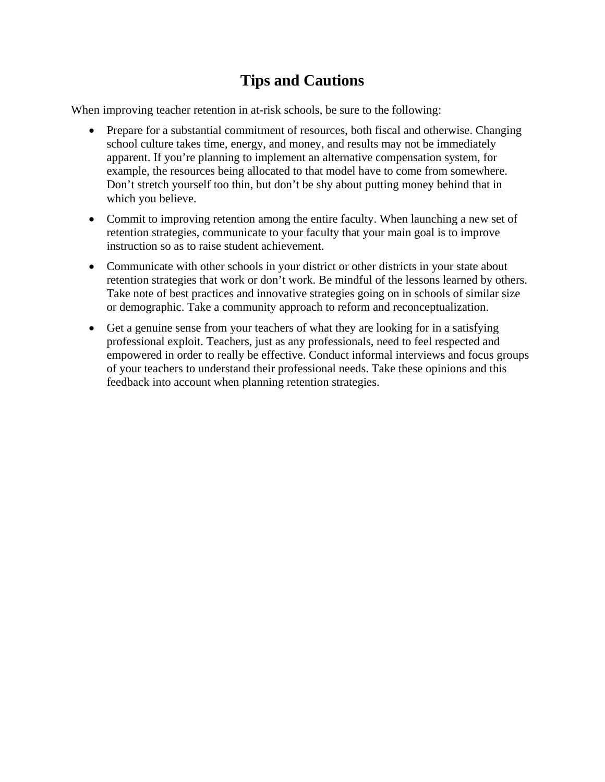# **Tips and Cautions**

When improving teacher retention in at-risk schools, be sure to the following:

- Prepare for a substantial commitment of resources, both fiscal and otherwise. Changing school culture takes time, energy, and money, and results may not be immediately apparent. If you're planning to implement an alternative compensation system, for example, the resources being allocated to that model have to come from somewhere. Don't stretch yourself too thin, but don't be shy about putting money behind that in which you believe.
- Commit to improving retention among the entire faculty. When launching a new set of retention strategies, communicate to your faculty that your main goal is to improve instruction so as to raise student achievement.
- Communicate with other schools in your district or other districts in your state about retention strategies that work or don't work. Be mindful of the lessons learned by others. Take note of best practices and innovative strategies going on in schools of similar size or demographic. Take a community approach to reform and reconceptualization.
- Get a genuine sense from your teachers of what they are looking for in a satisfying professional exploit. Teachers, just as any professionals, need to feel respected and empowered in order to really be effective. Conduct informal interviews and focus groups of your teachers to understand their professional needs. Take these opinions and this feedback into account when planning retention strategies.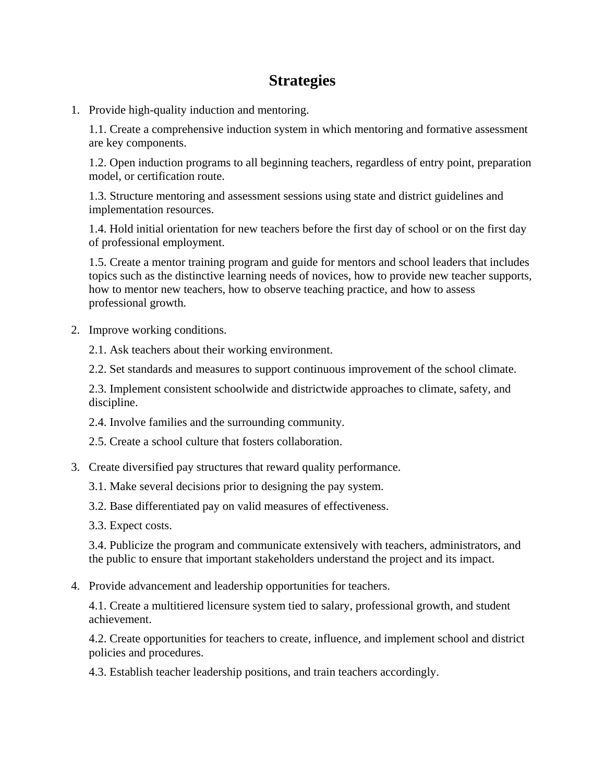# **Strategies**

1. Provide high-quality induction and mentoring.

1.1. Create a comprehensive induction system in which mentoring and formative assessment are key components.

1.2. Open induction programs to all beginning teachers, regardless of entry point, preparation model, or certification route.

1.3. Structure mentoring and assessment sessions using state and district guidelines and implementation resources.

1.4. Hold initial orientation for new teachers before the first day of school or on the first day of professional employment.

1.5. Create a mentor training program and guide for mentors and school leaders that includes topics such as the distinctive learning needs of novices, how to provide new teacher supports, how to mentor new teachers, how to observe teaching practice, and how to assess professional growth.

- 2. Improve working conditions.
	- 2.1. Ask teachers about their working environment.
	- 2.2. Set standards and measures to support continuous improvement of the school climate.

2.3. Implement consistent schoolwide and districtwide approaches to climate, safety, and discipline.

- 2.4. Involve families and the surrounding community.
- 2.5. Create a school culture that fosters collaboration.
- 3. Create diversified pay structures that reward quality performance.
	- 3.1. Make several decisions prior to designing the pay system.
	- 3.2. Base differentiated pay on valid measures of effectiveness.
	- 3.3. Expect costs.

3.4. Publicize the program and communicate extensively with teachers, administrators, and the public to ensure that important stakeholders understand the project and its impact.

4. Provide advancement and leadership opportunities for teachers.

4.1. Create a multitiered licensure system tied to salary, professional growth, and student achievement.

4.2. Create opportunities for teachers to create, influence, and implement school and district policies and procedures.

4.3. Establish teacher leadership positions, and train teachers accordingly.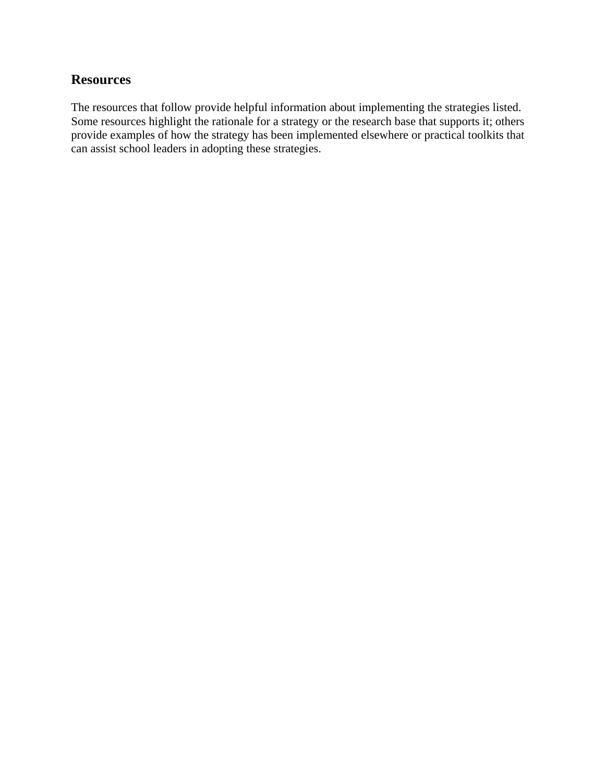### **Resources**

The resources that follow provide helpful information about implementing the strategies listed. Some resources highlight the rationale for a strategy or the research base that supports it; others provide examples of how the strategy has been implemented elsewhere or practical toolkits that can assist school leaders in adopting these strategies.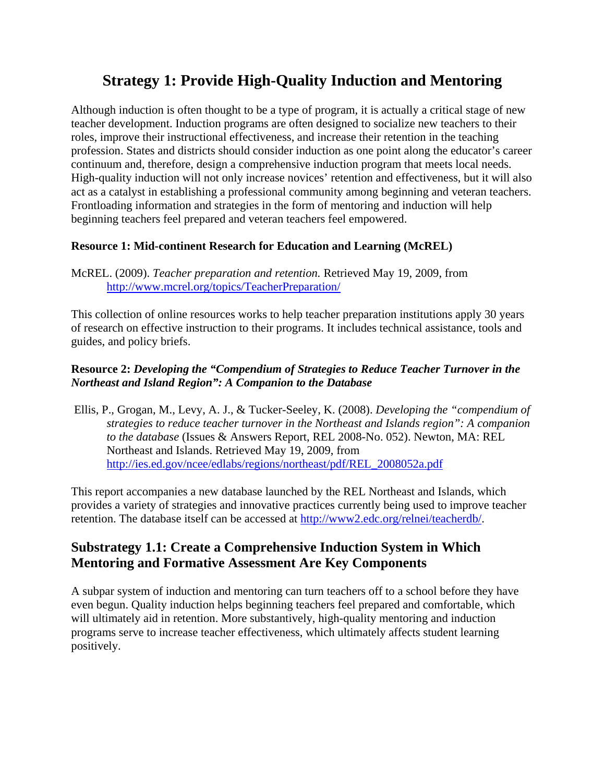# **Strategy 1: Provide High-Quality Induction and Mentoring**

Although induction is often thought to be a type of program, it is actually a critical stage of new teacher development. Induction programs are often designed to socialize new teachers to their roles, improve their instructional effectiveness, and increase their retention in the teaching profession. States and districts should consider induction as one point along the educator's career continuum and, therefore, design a comprehensive induction program that meets local needs. High-quality induction will not only increase novices' retention and effectiveness, but it will also act as a catalyst in establishing a professional community among beginning and veteran teachers. Frontloading information and strategies in the form of mentoring and induction will help beginning teachers feel prepared and veteran teachers feel empowered.

#### **Resource 1: Mid-continent Research for Education and Learning (McREL)**

McREL. (2009). *Teacher preparation and retention.* Retrieved May 19, 2009, from <http://www.mcrel.org/topics/TeacherPreparation/>

This collection of online resources works to help teacher preparation institutions apply 30 years of research on effective instruction to their programs. It includes technical assistance, tools and guides, and policy briefs.

#### **Resource 2:** *Developing the "Compendium of Strategies to Reduce Teacher Turnover in the Northeast and Island Region": A Companion to the Database*

 Ellis, P., Grogan, M., Levy, A. J., & Tucker-Seeley, K. (2008). *Developing the "compendium of strategies to reduce teacher turnover in the Northeast and Islands region": A companion to the database* (Issues & Answers Report, REL 2008-No. 052). Newton, MA: REL Northeast and Islands. Retrieved May 19, 2009, from [http://ies.ed.gov/ncee/edlabs/regions/northeast/pdf/REL\\_2008052a.pdf](http://ies.ed.gov/ncee/edlabs/regions/northeast/pdf/REL_2008052a.pdf)

This report accompanies a new database launched by the REL Northeast and Islands, which provides a variety of strategies and innovative practices currently being used to improve teacher retention. The database itself can be accessed at<http://www2.edc.org/relnei/teacherdb/>.

# **Substrategy 1.1: Create a Comprehensive Induction System in Which Mentoring and Formative Assessment Are Key Components**

A subpar system of induction and mentoring can turn teachers off to a school before they have even begun. Quality induction helps beginning teachers feel prepared and comfortable, which will ultimately aid in retention. More substantively, high-quality mentoring and induction programs serve to increase teacher effectiveness, which ultimately affects student learning positively.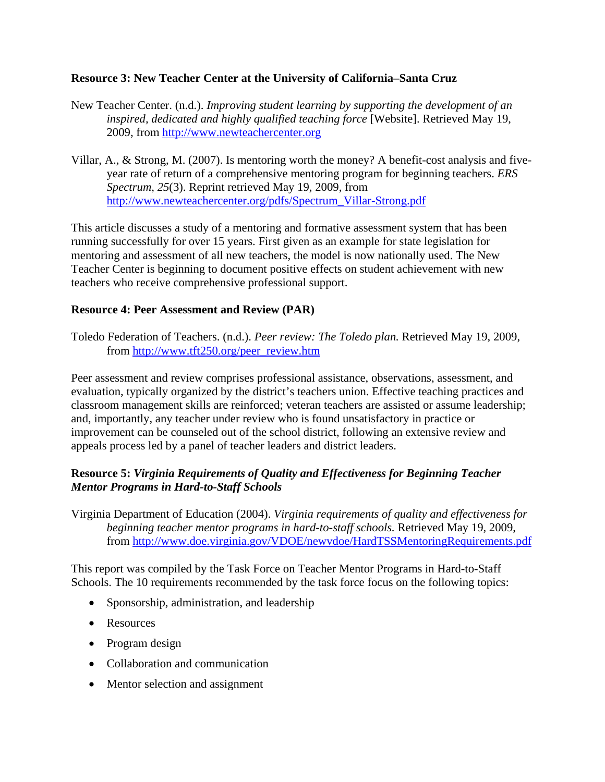#### **Resource 3: New Teacher Center at the University of California–Santa Cruz**

- New Teacher Center. (n.d.). *Improving student learning by supporting the development of an inspired, dedicated and highly qualified teaching force* [Website]. Retrieved May 19, 2009, from [http://www.newteachercenter.org](http://www.newteachercenter.org/)
- Villar, A., & Strong, M. (2007). Is mentoring worth the money? A benefit-cost analysis and fiveyear rate of return of a comprehensive mentoring program for beginning teachers. *ERS Spectrum, 25*(3). Reprint retrieved May 19, 2009, from [http://www.newteachercenter.org/pdfs/Spectrum\\_Villar-Strong.pdf](http://www.newteachercenter.org/pdfs/Spectrum_Villar-Strong.pdf)

This article discusses a study of a mentoring and formative assessment system that has been running successfully for over 15 years. First given as an example for state legislation for mentoring and assessment of all new teachers, the model is now nationally used. The New Teacher Center is beginning to document positive effects on student achievement with new teachers who receive comprehensive professional support.

#### **Resource 4: Peer Assessment and Review (PAR)**

Toledo Federation of Teachers. (n.d.). *Peer review: The Toledo plan.* Retrieved May 19, 2009, from [http://www.tft250.org/peer\\_review.htm](http://www.tft250.org/peer_review.htm)

Peer assessment and review comprises professional assistance, observations, assessment, and evaluation, typically organized by the district's teachers union. Effective teaching practices and classroom management skills are reinforced; veteran teachers are assisted or assume leadership; and, importantly, any teacher under review who is found unsatisfactory in practice or improvement can be counseled out of the school district, following an extensive review and appeals process led by a panel of teacher leaders and district leaders.

#### **Resource 5:** *Virginia Requirements of Quality and Effectiveness for Beginning Teacher Mentor Programs in Hard-to-Staff Schools*

Virginia Department of Education (2004). *Virginia requirements of quality and effectiveness for beginning teacher mentor programs in hard-to-staff schools.* Retrieved May 19, 2009, from<http://www.doe.virginia.gov/VDOE/newvdoe/HardTSSMentoringRequirements.pdf>

This report was compiled by the Task Force on Teacher Mentor Programs in Hard-to-Staff Schools. The 10 requirements recommended by the task force focus on the following topics:

- Sponsorship, administration, and leadership
- Resources
- Program design
- Collaboration and communication
- Mentor selection and assignment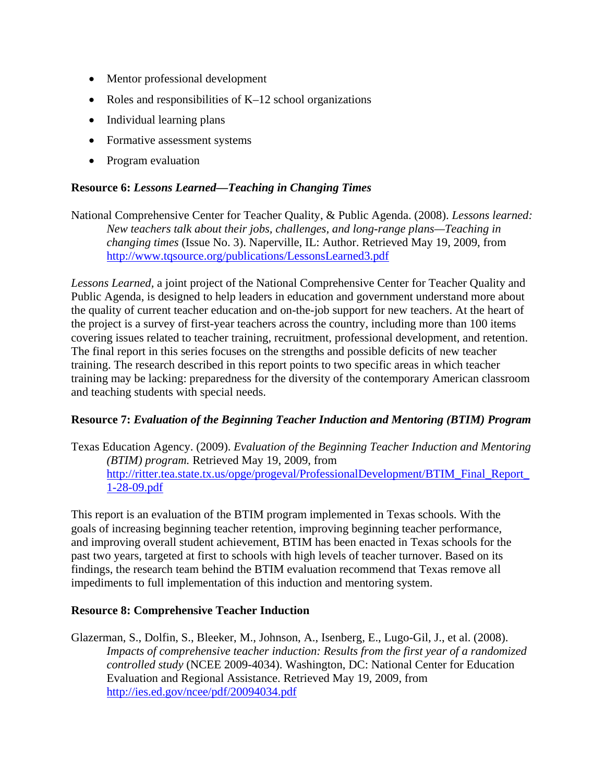- Mentor professional development
- Roles and responsibilities of K–12 school organizations
- Individual learning plans
- Formative assessment systems
- Program evaluation

#### **Resource 6:** *Lessons Learned—Teaching in Changing Times*

National Comprehensive Center for Teacher Quality, & Public Agenda. (2008). *Lessons learned: New teachers talk about their jobs, challenges, and long-range plans—Teaching in changing times* (Issue No. 3). Naperville, IL: Author. Retrieved May 19, 2009, from <http://www.tqsource.org/publications/LessonsLearned3.pdf>

*Lessons Learned,* a joint project of the National Comprehensive Center for Teacher Quality and Public Agenda, is designed to help leaders in education and government understand more about the quality of current teacher education and on-the-job support for new teachers. At the heart of the project is a survey of first-year teachers across the country, including more than 100 items covering issues related to teacher training, recruitment, professional development, and retention. The final report in this series focuses on the strengths and possible deficits of new teacher training. The research described in this report points to two specific areas in which teacher training may be lacking: preparedness for the diversity of the contemporary American classroom and teaching students with special needs.

#### **Resource 7:** *Evaluation of the Beginning Teacher Induction and Mentoring (BTIM) Program*

Texas Education Agency. (2009). *Evaluation of the Beginning Teacher Induction and Mentoring (BTIM) program.* Retrieved May 19, 2009, from http://ritter.tea.state.tx.us/opge/progeval/ProfessionalDevelopment/BTIM\_Final\_Report [1-28-09.pdf](http://ritter.tea.state.tx.us/opge/progeval/ProfessionalDevelopment/BTIM_Final_Report_1-28-09.pdf)

This report is an evaluation of the BTIM program implemented in Texas schools. With the goals of increasing beginning teacher retention, improving beginning teacher performance, and improving overall student achievement, BTIM has been enacted in Texas schools for the past two years, targeted at first to schools with high levels of teacher turnover. Based on its findings, the research team behind the BTIM evaluation recommend that Texas remove all impediments to full implementation of this induction and mentoring system.

#### **Resource 8: Comprehensive Teacher Induction**

Glazerman, S., Dolfin, S., Bleeker, M., Johnson, A., Isenberg, E., Lugo-Gil, J., et al. (2008). *Impacts of comprehensive teacher induction: Results from the first year of a randomized controlled study* (NCEE 2009-4034). Washington, DC: National Center for Education Evaluation and Regional Assistance. Retrieved May 19, 2009, from <http://ies.ed.gov/ncee/pdf/20094034.pdf>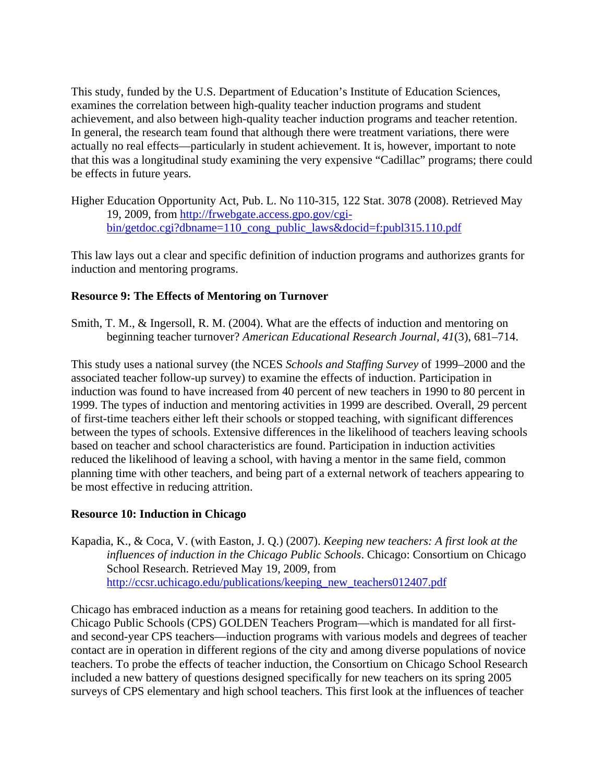This study, funded by the U.S. Department of Education's Institute of Education Sciences, examines the correlation between high-quality teacher induction programs and student achievement, and also between high-quality teacher induction programs and teacher retention. In general, the research team found that although there were treatment variations, there were actually no real effects—particularly in student achievement. It is, however, important to note that this was a longitudinal study examining the very expensive "Cadillac" programs; there could be effects in future years.

Higher Education Opportunity Act, Pub. L. No 110-315, 122 Stat. 3078 (2008). Retrieved May 19, 2009, from [http://frwebgate.access.gpo.gov/cgi](http://frwebgate.access.gpo.gov/cgi-bin/getdoc.cgi?dbname=110_cong_public_laws&docid=f:publ315.110.pdf)[bin/getdoc.cgi?dbname=110\\_cong\\_public\\_laws&docid=f:publ315.110.pdf](http://frwebgate.access.gpo.gov/cgi-bin/getdoc.cgi?dbname=110_cong_public_laws&docid=f:publ315.110.pdf)

This law lays out a clear and specific definition of induction programs and authorizes grants for induction and mentoring programs.

#### **Resource 9: The Effects of Mentoring on Turnover**

Smith, T. M., & Ingersoll, R. M. (2004). What are the effects of induction and mentoring on beginning teacher turnover? *American Educational Research Journal, 41*(3), 681–714.

This study uses a national survey (the NCES *Schools and Staffing Survey* of 1999–2000 and the associated teacher follow-up survey) to examine the effects of induction. Participation in induction was found to have increased from 40 percent of new teachers in 1990 to 80 percent in 1999. The types of induction and mentoring activities in 1999 are described. Overall, 29 percent of first-time teachers either left their schools or stopped teaching, with significant differences between the types of schools. Extensive differences in the likelihood of teachers leaving schools based on teacher and school characteristics are found. Participation in induction activities reduced the likelihood of leaving a school, with having a mentor in the same field, common planning time with other teachers, and being part of a external network of teachers appearing to be most effective in reducing attrition.

#### **Resource 10: Induction in Chicago**

Kapadia, K., & Coca, V. (with Easton, J. Q.) (2007). *Keeping new teachers: A first look at the influences of induction in the Chicago Public Schools*. Chicago: Consortium on Chicago School Research. Retrieved May 19, 2009, from [http://ccsr.uchicago.edu/publications/keeping\\_new\\_teachers012407.pdf](http://ccsr.uchicago.edu/publications/keeping_new_teachers012407.pdf)

Chicago has embraced induction as a means for retaining good teachers. In addition to the Chicago Public Schools (CPS) GOLDEN Teachers Program—which is mandated for all firstand second-year CPS teachers—induction programs with various models and degrees of teacher contact are in operation in different regions of the city and among diverse populations of novice teachers. To probe the effects of teacher induction, the Consortium on Chicago School Research included a new battery of questions designed specifically for new teachers on its spring 2005 surveys of CPS elementary and high school teachers. This first look at the influences of teacher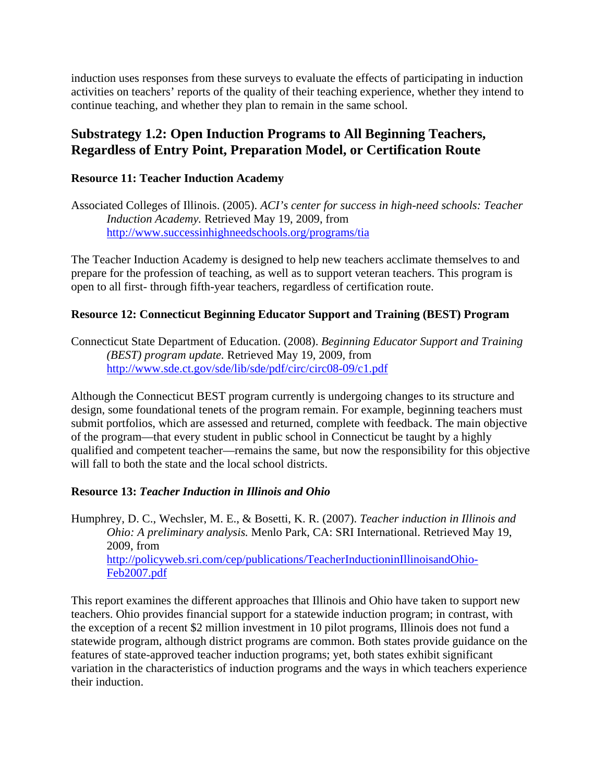induction uses responses from these surveys to evaluate the effects of participating in induction activities on teachers' reports of the quality of their teaching experience, whether they intend to continue teaching, and whether they plan to remain in the same school.

### **Substrategy 1.2: Open Induction Programs to All Beginning Teachers, Regardless of Entry Point, Preparation Model, or Certification Route**

#### **Resource 11: Teacher Induction Academy**

Associated Colleges of Illinois. (2005). *ACI's center for success in high-need schools: Teacher Induction Academy.* Retrieved May 19, 2009, from <http://www.successinhighneedschools.org/programs/tia>

The Teacher Induction Academy is designed to help new teachers acclimate themselves to and prepare for the profession of teaching, as well as to support veteran teachers. This program is open to all first- through fifth-year teachers, regardless of certification route.

#### **Resource 12: Connecticut Beginning Educator Support and Training (BEST) Program**

Connecticut State Department of Education. (2008). *Beginning Educator Support and Training (BEST) program update.* Retrieved May 19, 2009, from <http://www.sde.ct.gov/sde/lib/sde/pdf/circ/circ08-09/c1.pdf>

Although the Connecticut BEST program currently is undergoing changes to its structure and design, some foundational tenets of the program remain. For example, beginning teachers must submit portfolios, which are assessed and returned, complete with feedback. The main objective of the program—that every student in public school in Connecticut be taught by a highly qualified and competent teacher—remains the same, but now the responsibility for this objective will fall to both the state and the local school districts.

#### **Resource 13:** *Teacher Induction in Illinois and Ohio*

Humphrey, D. C., Wechsler, M. E., & Bosetti, K. R. (2007). *Teacher induction in Illinois and Ohio: A preliminary analysis.* Menlo Park, CA: SRI International. Retrieved May 19, 2009, from [http://policyweb.sri.com/cep/publications/TeacherInductioninIllinoisandOhio-](http://policyweb.sri.com/cep/publications/TeacherInductioninIllinoisandOhio-Feb2007.pdf)[Feb2007.pdf](http://policyweb.sri.com/cep/publications/TeacherInductioninIllinoisandOhio-Feb2007.pdf)

This report examines the different approaches that Illinois and Ohio have taken to support new teachers. Ohio provides financial support for a statewide induction program; in contrast, with the exception of a recent \$2 million investment in 10 pilot programs, Illinois does not fund a statewide program, although district programs are common. Both states provide guidance on the features of state-approved teacher induction programs; yet, both states exhibit significant variation in the characteristics of induction programs and the ways in which teachers experience their induction.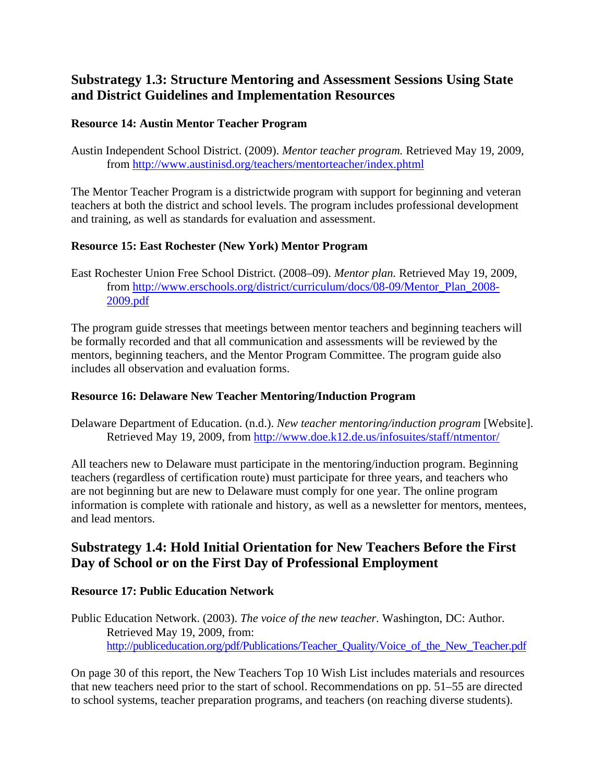# **Substrategy 1.3: Structure Mentoring and Assessment Sessions Using State and District Guidelines and Implementation Resources**

#### **Resource 14: Austin Mentor Teacher Program**

Austin Independent School District. (2009). *Mentor teacher program.* Retrieved May 19, 2009, from<http://www.austinisd.org/teachers/mentorteacher/index.phtml>

The Mentor Teacher Program is a districtwide program with support for beginning and veteran teachers at both the district and school levels. The program includes professional development and training, as well as standards for evaluation and assessment.

#### **Resource 15: East Rochester (New York) Mentor Program**

East Rochester Union Free School District. (2008–09). *Mentor plan.* Retrieved May 19, 2009, from [http://www.erschools.org/district/curriculum/docs/08-09/Mentor\\_Plan\\_2008-](http://www.erschools.org/district/curriculum/docs/08-09/Mentor_Plan_2008-2009.pdf) [2009.pdf](http://www.erschools.org/district/curriculum/docs/08-09/Mentor_Plan_2008-2009.pdf)

The program guide stresses that meetings between mentor teachers and beginning teachers will be formally recorded and that all communication and assessments will be reviewed by the mentors, beginning teachers, and the Mentor Program Committee. The program guide also includes all observation and evaluation forms.

#### **Resource 16: Delaware New Teacher Mentoring/Induction Program**

Delaware Department of Education. (n.d.). *New teacher mentoring/induction program* [Website]. Retrieved May 19, 2009, from <http://www.doe.k12.de.us/infosuites/staff/ntmentor/>

All teachers new to Delaware must participate in the mentoring/induction program. Beginning teachers (regardless of certification route) must participate for three years, and teachers who are not beginning but are new to Delaware must comply for one year. The online program information is complete with rationale and history, as well as a newsletter for mentors, mentees, and lead mentors.

# **Substrategy 1.4: Hold Initial Orientation for New Teachers Before the First Day of School or on the First Day of Professional Employment**

#### **Resource 17: Public Education Network**

Public Education Network. (2003). *The voice of the new teacher.* Washington, DC: Author. Retrieved May 19, 2009, from: [http://publiceducation.org/pdf/Publications/Teacher\\_Quality/Voice\\_of\\_the\\_New\\_Teacher.pdf](http://publiceducation.org/pdf/Publications/Teacher_Quality/Voice_of_the_New_Teacher.pdf)

On page 30 of this report, the New Teachers Top 10 Wish List includes materials and resources that new teachers need prior to the start of school. Recommendations on pp. 51–55 are directed to school systems, teacher preparation programs, and teachers (on reaching diverse students).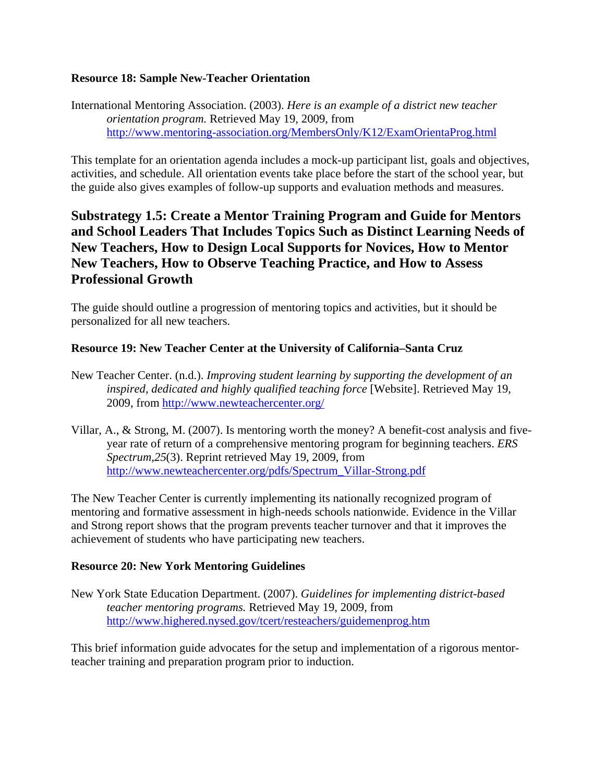#### **Resource 18: Sample New-Teacher Orientation**

International Mentoring Association. (2003). *Here is an example of a district new teacher orientation program.* Retrieved May 19, 2009, from <http://www.mentoring-association.org/MembersOnly/K12/ExamOrientaProg.html>

This template for an orientation agenda includes a mock-up participant list, goals and objectives, activities, and schedule. All orientation events take place before the start of the school year, but the guide also gives examples of follow-up supports and evaluation methods and measures.

# **Substrategy 1.5: Create a Mentor Training Program and Guide for Mentors and School Leaders That Includes Topics Such as Distinct Learning Needs of New Teachers, How to Design Local Supports for Novices, How to Mentor New Teachers, How to Observe Teaching Practice, and How to Assess Professional Growth**

The guide should outline a progression of mentoring topics and activities, but it should be personalized for all new teachers.

#### **Resource 19: New Teacher Center at the University of California–Santa Cruz**

- New Teacher Center. (n.d.). *Improving student learning by supporting the development of an inspired, dedicated and highly qualified teaching force* [Website]. Retrieved May 19, 2009, from<http://www.newteachercenter.org/>
- Villar, A., & Strong, M. (2007). Is mentoring worth the money? A benefit-cost analysis and fiveyear rate of return of a comprehensive mentoring program for beginning teachers. *ERS Spectrum,25*(3). Reprint retrieved May 19, 2009, from [http://www.newteachercenter.org/pdfs/Spectrum\\_Villar-Strong.pdf](http://www.newteachercenter.org/pdfs/Spectrum_Villar-Strong.pdf)

The New Teacher Center is currently implementing its nationally recognized program of mentoring and formative assessment in high-needs schools nationwide. Evidence in the Villar and Strong report shows that the program prevents teacher turnover and that it improves the achievement of students who have participating new teachers.

#### **Resource 20: New York Mentoring Guidelines**

New York State Education Department. (2007). *Guidelines for implementing district-based teacher mentoring programs.* Retrieved May 19, 2009, from <http://www.highered.nysed.gov/tcert/resteachers/guidemenprog.htm>

This brief information guide advocates for the setup and implementation of a rigorous mentorteacher training and preparation program prior to induction.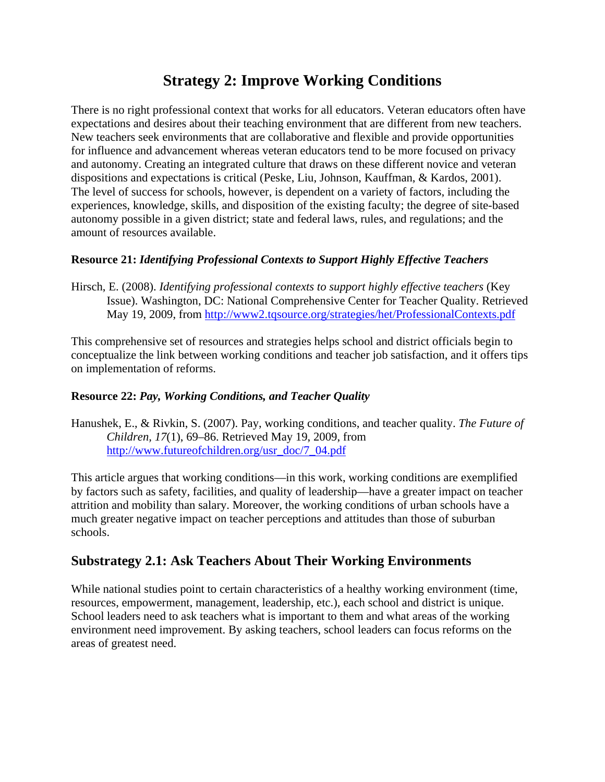# **Strategy 2: Improve Working Conditions**

There is no right professional context that works for all educators. Veteran educators often have expectations and desires about their teaching environment that are different from new teachers. New teachers seek environments that are collaborative and flexible and provide opportunities for influence and advancement whereas veteran educators tend to be more focused on privacy and autonomy. Creating an integrated culture that draws on these different novice and veteran dispositions and expectations is critical (Peske, Liu, Johnson, Kauffman, & Kardos, 2001). The level of success for schools, however, is dependent on a variety of factors, including the experiences, knowledge, skills, and disposition of the existing faculty; the degree of site-based autonomy possible in a given district; state and federal laws, rules, and regulations; and the amount of resources available.

#### **Resource 21:** *Identifying Professional Contexts to Support Highly Effective Teachers*

Hirsch, E. (2008). *Identifying professional contexts to support highly effective teachers* (Key Issue). Washington, DC: National Comprehensive Center for Teacher Quality. Retrieved May 19, 2009, from<http://www2.tqsource.org/strategies/het/ProfessionalContexts.pdf>

This comprehensive set of resources and strategies helps school and district officials begin to conceptualize the link between working conditions and teacher job satisfaction, and it offers tips on implementation of reforms.

#### **Resource 22:** *Pay, Working Conditions, and Teacher Quality*

Hanushek, E., & Rivkin, S. (2007). Pay, working conditions, and teacher quality. *The Future of Children, 17*(1), 69–86. Retrieved May 19, 2009, from [http://www.futureofchildren.org/usr\\_doc/7\\_04.pdf](http://www.futureofchildren.org/usr_doc/7_04.pdf)

This article argues that working conditions—in this work, working conditions are exemplified by factors such as safety, facilities, and quality of leadership—have a greater impact on teacher attrition and mobility than salary. Moreover, the working conditions of urban schools have a much greater negative impact on teacher perceptions and attitudes than those of suburban schools.

### **Substrategy 2.1: Ask Teachers About Their Working Environments**

While national studies point to certain characteristics of a healthy working environment (time, resources, empowerment, management, leadership, etc.), each school and district is unique. School leaders need to ask teachers what is important to them and what areas of the working environment need improvement. By asking teachers, school leaders can focus reforms on the areas of greatest need.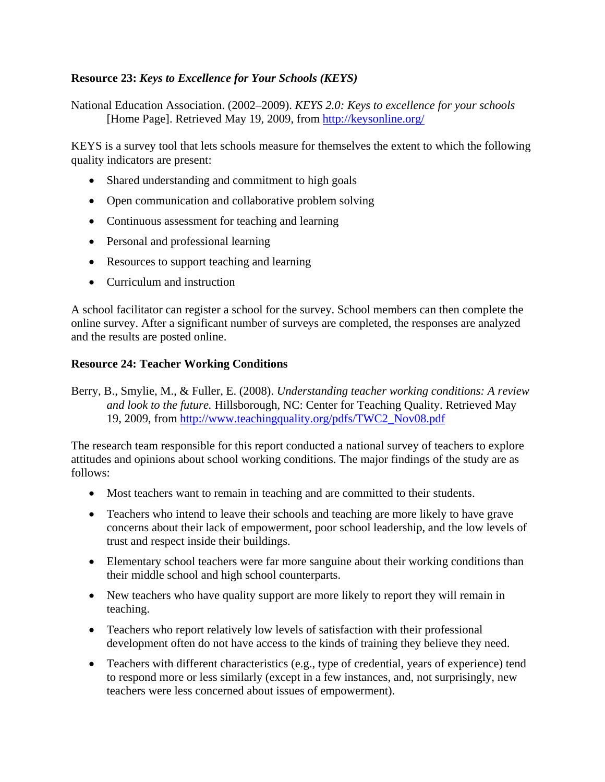#### **Resource 23:** *Keys to Excellence for Your Schools (KEYS)*

National Education Association. (2002–2009). *KEYS 2.0: Keys to excellence for your schools*  [Home Page]. Retrieved May 19, 2009, from <http://keysonline.org/>

KEYS is a survey tool that lets schools measure for themselves the extent to which the following quality indicators are present:

- Shared understanding and commitment to high goals
- Open communication and collaborative problem solving
- Continuous assessment for teaching and learning
- Personal and professional learning
- Resources to support teaching and learning
- Curriculum and instruction

A school facilitator can register a school for the survey. School members can then complete the online survey. After a significant number of surveys are completed, the responses are analyzed and the results are posted online.

#### **Resource 24: Teacher Working Conditions**

Berry, B., Smylie, M., & Fuller, E. (2008). *Understanding teacher working conditions: A review and look to the future.* Hillsborough, NC: Center for Teaching Quality. Retrieved May 19, 2009, from [http://www.teachingquality.org/pdfs/TWC2\\_Nov08.pdf](http://www.teachingquality.org/pdfs/TWC2_Nov08.pdf)

The research team responsible for this report conducted a national survey of teachers to explore attitudes and opinions about school working conditions. The major findings of the study are as follows:

- Most teachers want to remain in teaching and are committed to their students.
- Teachers who intend to leave their schools and teaching are more likely to have grave concerns about their lack of empowerment, poor school leadership, and the low levels of trust and respect inside their buildings.
- Elementary school teachers were far more sanguine about their working conditions than their middle school and high school counterparts.
- New teachers who have quality support are more likely to report they will remain in teaching.
- Teachers who report relatively low levels of satisfaction with their professional development often do not have access to the kinds of training they believe they need.
- Teachers with different characteristics (e.g., type of credential, years of experience) tend to respond more or less similarly (except in a few instances, and, not surprisingly, new teachers were less concerned about issues of empowerment).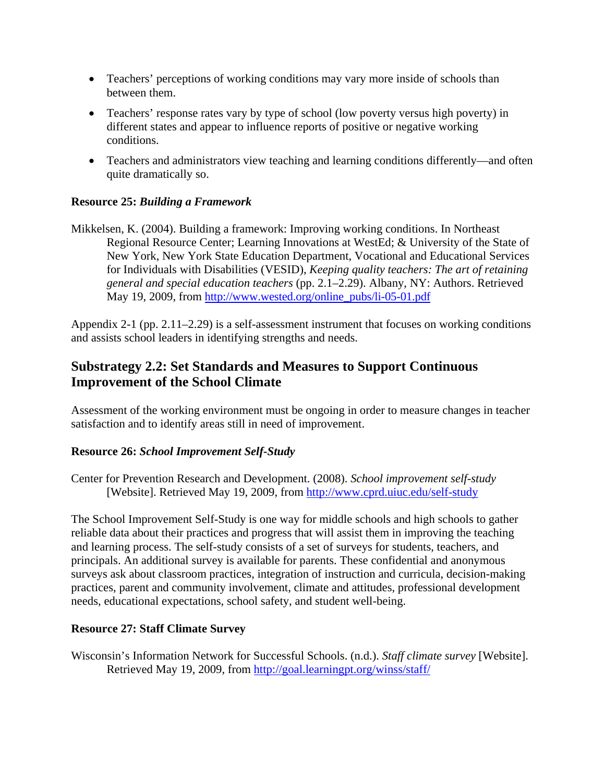- Teachers' perceptions of working conditions may vary more inside of schools than between them.
- Teachers' response rates vary by type of school (low poverty versus high poverty) in different states and appear to influence reports of positive or negative working conditions.
- Teachers and administrators view teaching and learning conditions differently—and often quite dramatically so.

#### **Resource 25:** *Building a Framework*

Mikkelsen, K. (2004). Building a framework: Improving working conditions. In Northeast Regional Resource Center; Learning Innovations at WestEd; & University of the State of New York, New York State Education Department, Vocational and Educational Services for Individuals with Disabilities (VESID), *Keeping quality teachers: The art of retaining general and special education teachers* (pp. 2.1–2.29). Albany, NY: Authors. Retrieved May 19, 2009, from [http://www.wested.org/online\\_pubs/li-05-01.pdf](http://www.wested.org/online_pubs/li-05-01.pdf)

Appendix 2-1 (pp. 2.11–2.29) is a self-assessment instrument that focuses on working conditions and assists school leaders in identifying strengths and needs.

## **Substrategy 2.2: Set Standards and Measures to Support Continuous Improvement of the School Climate**

Assessment of the working environment must be ongoing in order to measure changes in teacher satisfaction and to identify areas still in need of improvement.

#### **Resource 26:** *School Improvement Self-Study*

Center for Prevention Research and Development. (2008). *School improvement self-study*  [Website]. Retrieved May 19, 2009, from<http://www.cprd.uiuc.edu/self-study>

The School Improvement Self-Study is one way for middle schools and high schools to gather reliable data about their practices and progress that will assist them in improving the teaching and learning process. The self-study consists of a set of surveys for students, teachers, and principals. An additional survey is available for parents. These confidential and anonymous surveys ask about classroom practices, integration of instruction and curricula, decision-making practices, parent and community involvement, climate and attitudes, professional development needs, educational expectations, school safety, and student well-being.

#### **Resource 27: Staff Climate Survey**

Wisconsin's Information Network for Successful Schools. (n.d.). *Staff climate survey* [Website]. Retrieved May 19, 2009, from <http://goal.learningpt.org/winss/staff/>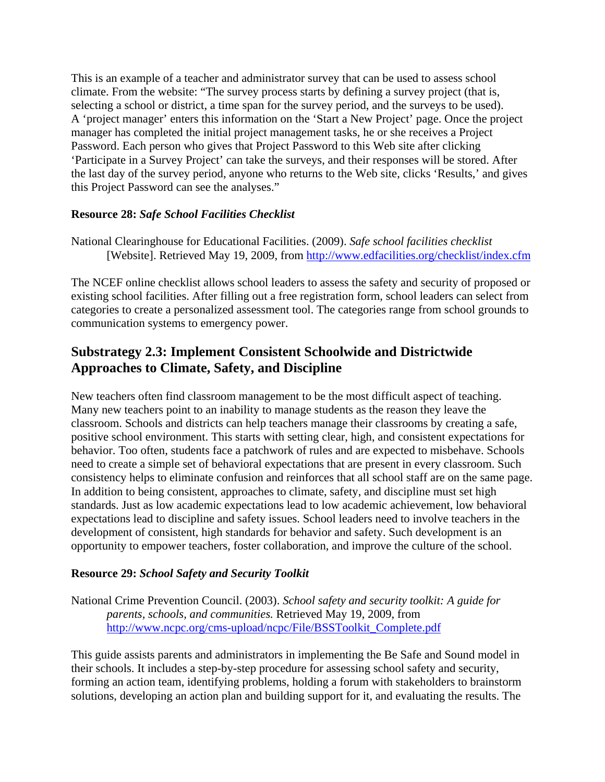This is an example of a teacher and administrator survey that can be used to assess school climate. From the website: "The survey process starts by defining a survey project (that is, selecting a school or district, a time span for the survey period, and the surveys to be used). A 'project manager' enters this information on the 'Start a New Project' page. Once the project manager has completed the initial project management tasks, he or she receives a Project Password. Each person who gives that Project Password to this Web site after clicking 'Participate in a Survey Project' can take the surveys, and their responses will be stored. After the last day of the survey period, anyone who returns to the Web site, clicks 'Results,' and gives this Project Password can see the analyses."

#### **Resource 28:** *Safe School Facilities Checklist*

National Clearinghouse for Educational Facilities. (2009). *Safe school facilities checklist* [Website]. Retrieved May 19, 2009, from<http://www.edfacilities.org/checklist/index.cfm>

The NCEF online checklist allows school leaders to assess the safety and security of proposed or existing school facilities. After filling out a free registration form, school leaders can select from categories to create a personalized assessment tool. The categories range from school grounds to communication systems to emergency power.

# **Substrategy 2.3: Implement Consistent Schoolwide and Districtwide Approaches to Climate, Safety, and Discipline**

New teachers often find classroom management to be the most difficult aspect of teaching. Many new teachers point to an inability to manage students as the reason they leave the classroom. Schools and districts can help teachers manage their classrooms by creating a safe, positive school environment. This starts with setting clear, high, and consistent expectations for behavior. Too often, students face a patchwork of rules and are expected to misbehave. Schools need to create a simple set of behavioral expectations that are present in every classroom. Such consistency helps to eliminate confusion and reinforces that all school staff are on the same page. In addition to being consistent, approaches to climate, safety, and discipline must set high standards. Just as low academic expectations lead to low academic achievement, low behavioral expectations lead to discipline and safety issues. School leaders need to involve teachers in the development of consistent, high standards for behavior and safety. Such development is an opportunity to empower teachers, foster collaboration, and improve the culture of the school.

#### **Resource 29:** *School Safety and Security Toolkit*

National Crime Prevention Council. (2003). *School safety and security toolkit: A guide for parents, schools, and communities.* Retrieved May 19, 2009, from [http://www.ncpc.org/cms-upload/ncpc/File/BSSToolkit\\_Complete.pdf](http://www.ncpc.org/cms-upload/ncpc/File/BSSToolkit_Complete.pdf)

This guide assists parents and administrators in implementing the Be Safe and Sound model in their schools. It includes a step-by-step procedure for assessing school safety and security, forming an action team, identifying problems, holding a forum with stakeholders to brainstorm solutions, developing an action plan and building support for it, and evaluating the results. The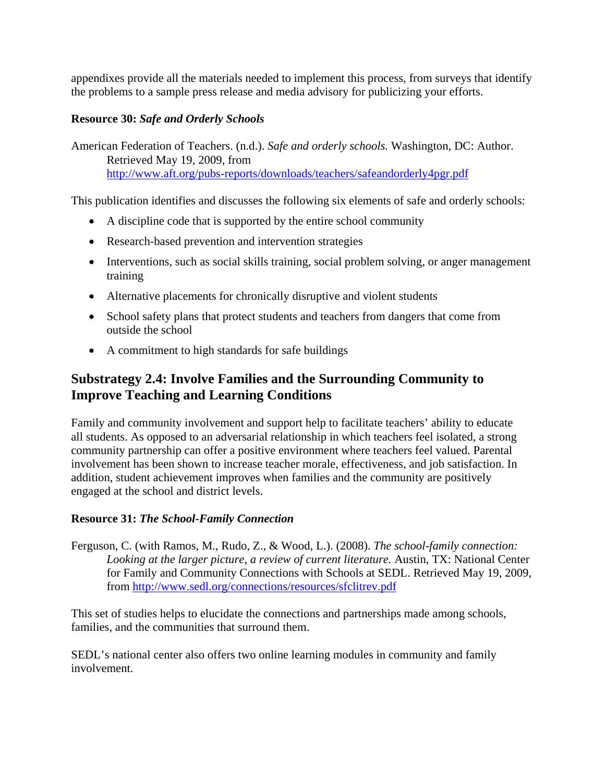appendixes provide all the materials needed to implement this process, from surveys that identify the problems to a sample press release and media advisory for publicizing your efforts.

#### **Resource 30:** *Safe and Orderly Schools*

American Federation of Teachers. (n.d.). *Safe and orderly schools.* Washington, DC: Author. Retrieved May 19, 2009, from <http://www.aft.org/pubs-reports/downloads/teachers/safeandorderly4pgr.pdf>

This publication identifies and discusses the following six elements of safe and orderly schools:

- A discipline code that is supported by the entire school community
- Research-based prevention and intervention strategies
- Interventions, such as social skills training, social problem solving, or anger management training
- Alternative placements for chronically disruptive and violent students
- School safety plans that protect students and teachers from dangers that come from outside the school
- A commitment to high standards for safe buildings

# **Substrategy 2.4: Involve Families and the Surrounding Community to Improve Teaching and Learning Conditions**

Family and community involvement and support help to facilitate teachers' ability to educate all students. As opposed to an adversarial relationship in which teachers feel isolated, a strong community partnership can offer a positive environment where teachers feel valued. Parental involvement has been shown to increase teacher morale, effectiveness, and job satisfaction. In addition, student achievement improves when families and the community are positively engaged at the school and district levels.

#### **Resource 31:** *The School-Family Connection*

Ferguson, C. (with Ramos, M., Rudo, Z., & Wood, L.). (2008). *The school-family connection: Looking at the larger picture, a review of current literature.* Austin, TX: National Center for Family and Community Connections with Schools at SEDL. Retrieved May 19, 2009, from<http://www.sedl.org/connections/resources/sfclitrev.pdf>

This set of studies helps to elucidate the connections and partnerships made among schools, families, and the communities that surround them.

SEDL's national center also offers two online learning modules in community and family involvement.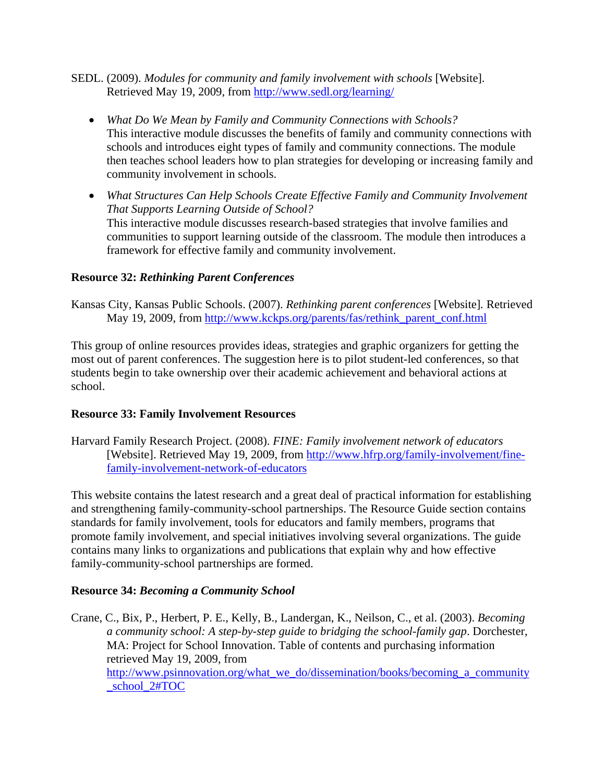- SEDL. (2009). *Modules for community and family involvement with schools* [Website]. Retrieved May 19, 2009, from <http://www.sedl.org/learning/>
	- *What Do We Mean by Family and Community Connections with Schools?* This interactive module discusses the benefits of family and community connections with schools and introduces eight types of family and community connections. The module then teaches school leaders how to plan strategies for developing or increasing family and community involvement in schools.
	- *What Structures Can Help Schools Create Effective Family and Community Involvement That Supports Learning Outside of School?* This interactive module discusses research-based strategies that involve families and communities to support learning outside of the classroom. The module then introduces a framework for effective family and community involvement.

#### **Resource 32:** *Rethinking Parent Conferences*

Kansas City, Kansas Public Schools. (2007). *Rethinking parent conferences* [Website]*.* Retrieved May 19, 2009, from [http://www.kckps.org/parents/fas/rethink\\_parent\\_conf.html](http://www.kckps.org/parents/fas/rethink_parent_conf.html)

This group of online resources provides ideas, strategies and graphic organizers for getting the most out of parent conferences. The suggestion here is to pilot student-led conferences, so that students begin to take ownership over their academic achievement and behavioral actions at school.

#### **Resource 33: Family Involvement Resources**

Harvard Family Research Project. (2008). *FINE: Family involvement network of educators* [Website]. Retrieved May 19, 2009, from [http://www.hfrp.org/family-involvement/fine](http://www.hfrp.org/family-involvement/fine-family-involvement-network-of-educators)[family-involvement-network-of-educators](http://www.hfrp.org/family-involvement/fine-family-involvement-network-of-educators)

This website contains the latest research and a great deal of practical information for establishing and strengthening family-community-school partnerships. The Resource Guide section contains standards for family involvement, tools for educators and family members, programs that promote family involvement, and special initiatives involving several organizations. The guide contains many links to organizations and publications that explain why and how effective family-community-school partnerships are formed.

#### **Resource 34:** *Becoming a Community School*

Crane, C., Bix, P., Herbert, P. E., Kelly, B., Landergan, K., Neilson, C., et al. (2003). *Becoming a community school: A step-by-step guide to bridging the school-family gap*. Dorchester, MA: Project for School Innovation. Table of contents and purchasing information retrieved May 19, 2009, from [http://www.psinnovation.org/what\\_we\\_do/dissemination/books/becoming\\_a\\_community](http://www.psinnovation.org/what_we_do/dissemination/books/becoming_a_community_school_2#TOC) school\_2#TOC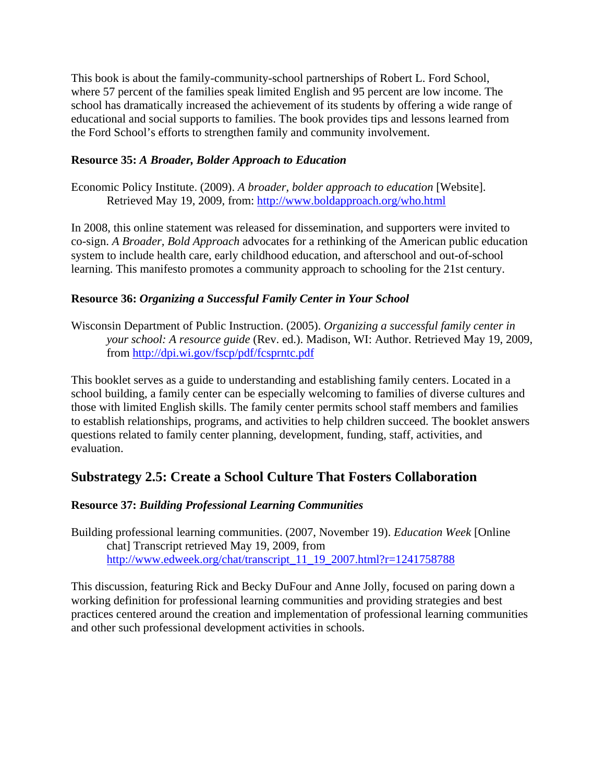This book is about the family-community-school partnerships of Robert L. Ford School, where 57 percent of the families speak limited English and 95 percent are low income. The school has dramatically increased the achievement of its students by offering a wide range of educational and social supports to families. The book provides tips and lessons learned from the Ford School's efforts to strengthen family and community involvement.

#### **Resource 35:** *A Broader, Bolder Approach to Education*

Economic Policy Institute. (2009). *A broader, bolder approach to education* [Website]. Retrieved May 19, 2009, from:<http://www.boldapproach.org/who.html>

In 2008, this online statement was released for dissemination, and supporters were invited to co-sign. *A Broader, Bold Approach* advocates for a rethinking of the American public education system to include health care, early childhood education, and afterschool and out-of-school learning. This manifesto promotes a community approach to schooling for the 21st century.

#### **Resource 36:** *Organizing a Successful Family Center in Your School*

Wisconsin Department of Public Instruction. (2005). *Organizing a successful family center in your school: A resource guide* (Rev. ed.). Madison, WI: Author. Retrieved May 19, 2009, from<http://dpi.wi.gov/fscp/pdf/fcsprntc.pdf>

This booklet serves as a guide to understanding and establishing family centers. Located in a school building, a family center can be especially welcoming to families of diverse cultures and those with limited English skills. The family center permits school staff members and families to establish relationships, programs, and activities to help children succeed. The booklet answers questions related to family center planning, development, funding, staff, activities, and evaluation.

# **Substrategy 2.5: Create a School Culture That Fosters Collaboration**

#### **Resource 37:** *Building Professional Learning Communities*

Building professional learning communities. (2007, November 19). *Education Week* [Online chat] Transcript retrieved May 19, 2009, from [http://www.edweek.org/chat/transcript\\_11\\_19\\_2007.html?r=1241758788](http://www.edweek.org/chat/transcript_11_19_2007.html?r=1241758788)

This discussion, featuring Rick and Becky DuFour and Anne Jolly, focused on paring down a working definition for professional learning communities and providing strategies and best practices centered around the creation and implementation of professional learning communities and other such professional development activities in schools.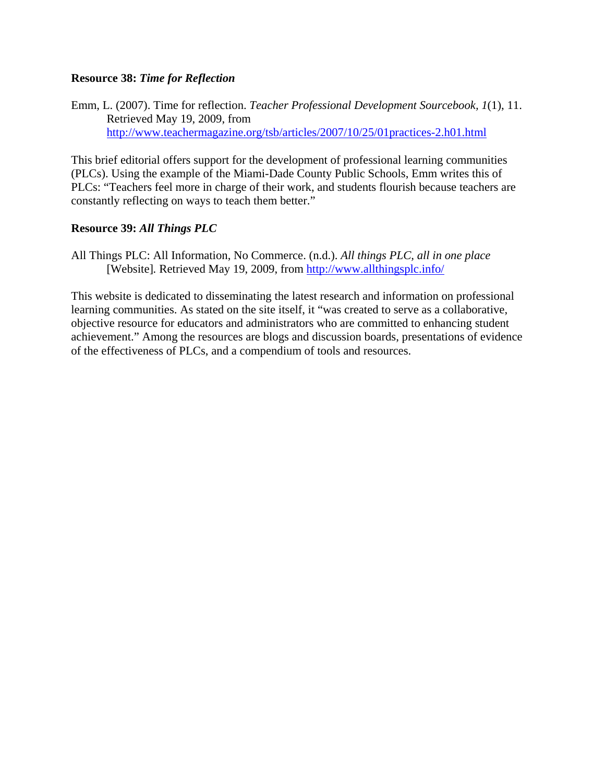#### **Resource 38:** *Time for Reflection*

Emm, L. (2007). Time for reflection. *Teacher Professional Development Sourcebook, 1*(1), 11. Retrieved May 19, 2009, from <http://www.teachermagazine.org/tsb/articles/2007/10/25/01practices-2.h01.html>

This brief editorial offers support for the development of professional learning communities (PLCs). Using the example of the Miami-Dade County Public Schools, Emm writes this of PLCs: "Teachers feel more in charge of their work, and students flourish because teachers are constantly reflecting on ways to teach them better."

#### **Resource 39:** *All Things PLC*

All Things PLC: All Information, No Commerce. (n.d.). *All things PLC, all in one place* [Website]*.* Retrieved May 19, 2009, from<http://www.allthingsplc.info/>

This website is dedicated to disseminating the latest research and information on professional learning communities. As stated on the site itself, it "was created to serve as a collaborative, objective resource for educators and administrators who are committed to enhancing student achievement." Among the resources are blogs and discussion boards, presentations of evidence of the effectiveness of PLCs, and a compendium of tools and resources.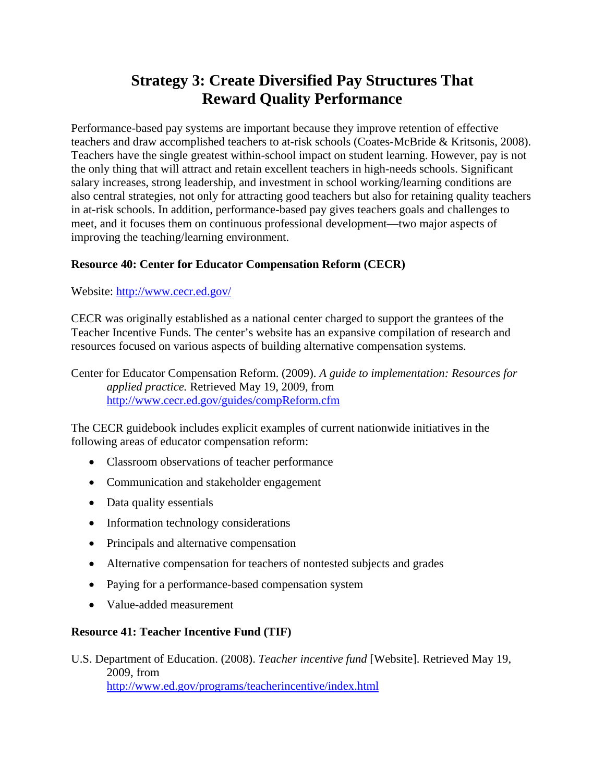# **Strategy 3: Create Diversified Pay Structures That Reward Quality Performance**

Performance-based pay systems are important because they improve retention of effective teachers and draw accomplished teachers to at-risk schools (Coates-McBride & Kritsonis, 2008). Teachers have the single greatest within-school impact on student learning. However, pay is not the only thing that will attract and retain excellent teachers in high-needs schools. Significant salary increases, strong leadership, and investment in school working/learning conditions are also central strategies, not only for attracting good teachers but also for retaining quality teachers in at-risk schools. In addition, performance-based pay gives teachers goals and challenges to meet, and it focuses them on continuous professional development—two major aspects of improving the teaching/learning environment.

#### **Resource 40: Center for Educator Compensation Reform (CECR)**

Website: <http://www.cecr.ed.gov/>

CECR was originally established as a national center charged to support the grantees of the Teacher Incentive Funds. The center's website has an expansive compilation of research and resources focused on various aspects of building alternative compensation systems.

Center for Educator Compensation Reform. (2009). *A guide to implementation: Resources for applied practice.* Retrieved May 19, 2009, from <http://www.cecr.ed.gov/guides/compReform.cfm>

The CECR guidebook includes explicit examples of current nationwide initiatives in the following areas of educator compensation reform:

- Classroom observations of teacher performance
- Communication and stakeholder engagement
- Data quality essentials
- Information technology considerations
- Principals and alternative compensation
- Alternative compensation for teachers of nontested subjects and grades
- Paying for a performance-based compensation system
- Value-added measurement

#### **Resource 41: Teacher Incentive Fund (TIF)**

U.S. Department of Education. (2008). *Teacher incentive fund* [Website]. Retrieved May 19, 2009, from <http://www.ed.gov/programs/teacherincentive/index.html>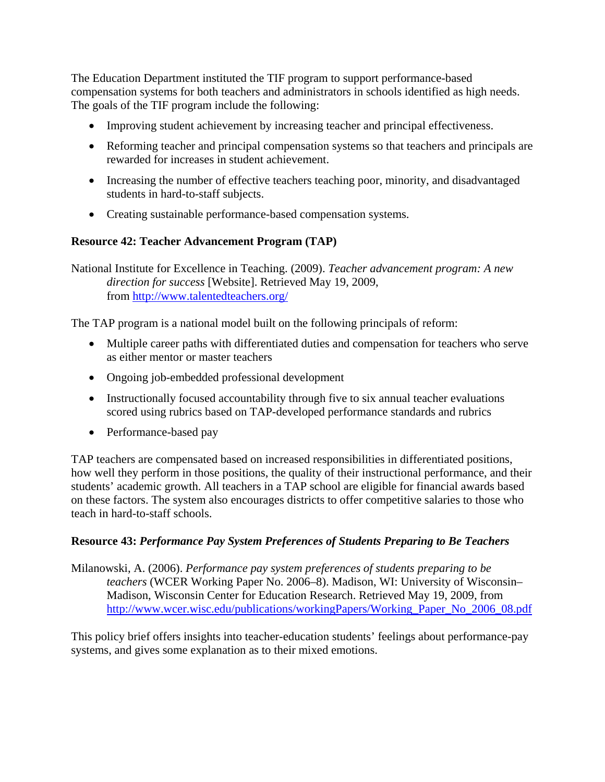The Education Department instituted the TIF program to support performance-based compensation systems for both teachers and administrators in schools identified as high needs. The goals of the TIF program include the following:

- Improving student achievement by increasing teacher and principal effectiveness.
- Reforming teacher and principal compensation systems so that teachers and principals are rewarded for increases in student achievement.
- Increasing the number of effective teachers teaching poor, minority, and disadvantaged students in hard-to-staff subjects.
- Creating sustainable performance-based compensation systems.

#### **Resource 42: Teacher Advancement Program (TAP)**

National Institute for Excellence in Teaching. (2009). *Teacher advancement program: A new direction for success* [Website]. Retrieved May 19, 2009, from<http://www.talentedteachers.org/>

The TAP program is a national model built on the following principals of reform:

- Multiple career paths with differentiated duties and compensation for teachers who serve as either mentor or master teachers
- Ongoing job-embedded professional development
- Instructionally focused accountability through five to six annual teacher evaluations scored using rubrics based on TAP-developed performance standards and rubrics
- Performance-based pay

TAP teachers are compensated based on increased responsibilities in differentiated positions, how well they perform in those positions, the quality of their instructional performance, and their students' academic growth. All teachers in a TAP school are eligible for financial awards based on these factors. The system also encourages districts to offer competitive salaries to those who teach in hard-to-staff schools.

#### **Resource 43:** *Performance Pay System Preferences of Students Preparing to Be Teachers*

Milanowski, A. (2006). *Performance pay system preferences of students preparing to be teachers* (WCER Working Paper No. 2006–8). Madison, WI: University of Wisconsin– Madison, Wisconsin Center for Education Research. Retrieved May 19, 2009, from [http://www.wcer.wisc.edu/publications/workingPapers/Working\\_Paper\\_No\\_2006\\_08.pdf](http://www.wcer.wisc.edu/publications/workingPapers/Working_Paper_No_2006_08.pdf)

This policy brief offers insights into teacher-education students' feelings about performance-pay systems, and gives some explanation as to their mixed emotions.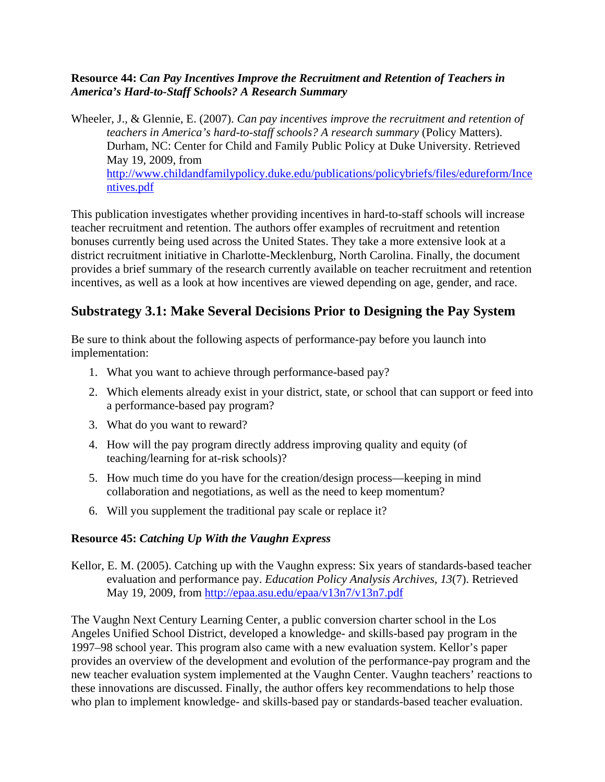#### **Resource 44:** *Can Pay Incentives Improve the Recruitment and Retention of Teachers in America's Hard-to-Staff Schools? A Research Summary*

Wheeler, J., & Glennie, E. (2007). *Can pay incentives improve the recruitment and retention of teachers in America's hard-to-staff schools? A research summary* (Policy Matters). Durham, NC: Center for Child and Family Public Policy at Duke University. Retrieved May 19, 2009, from [http://www.childandfamilypolicy.duke.edu/publications/policybriefs/files/edureform/Ince](http://www.childandfamilypolicy.duke.edu/publications/policybriefs/files/edureform/Incentives.pdf) [ntives.pdf](http://www.childandfamilypolicy.duke.edu/publications/policybriefs/files/edureform/Incentives.pdf)

This publication investigates whether providing incentives in hard-to-staff schools will increase teacher recruitment and retention. The authors offer examples of recruitment and retention bonuses currently being used across the United States. They take a more extensive look at a district recruitment initiative in Charlotte-Mecklenburg, North Carolina. Finally, the document provides a brief summary of the research currently available on teacher recruitment and retention incentives, as well as a look at how incentives are viewed depending on age, gender, and race.

# **Substrategy 3.1: Make Several Decisions Prior to Designing the Pay System**

Be sure to think about the following aspects of performance-pay before you launch into implementation:

- 1. What you want to achieve through performance-based pay?
- 2. Which elements already exist in your district, state, or school that can support or feed into a performance-based pay program?
- 3. What do you want to reward?
- 4. How will the pay program directly address improving quality and equity (of teaching/learning for at-risk schools)?
- 5. How much time do you have for the creation/design process—keeping in mind collaboration and negotiations, as well as the need to keep momentum?
- 6. Will you supplement the traditional pay scale or replace it?

#### **Resource 45:** *Catching Up With the Vaughn Express*

Kellor, E. M. (2005). Catching up with the Vaughn express: Six years of standards-based teacher evaluation and performance pay. *Education Policy Analysis Archives, 13*(7). Retrieved May 19, 2009, from<http://epaa.asu.edu/epaa/v13n7/v13n7.pdf>

The Vaughn Next Century Learning Center, a public conversion charter school in the Los Angeles Unified School District, developed a knowledge- and skills-based pay program in the 1997–98 school year. This program also came with a new evaluation system. Kellor's paper provides an overview of the development and evolution of the performance-pay program and the new teacher evaluation system implemented at the Vaughn Center. Vaughn teachers' reactions to these innovations are discussed. Finally, the author offers key recommendations to help those who plan to implement knowledge- and skills-based pay or standards-based teacher evaluation.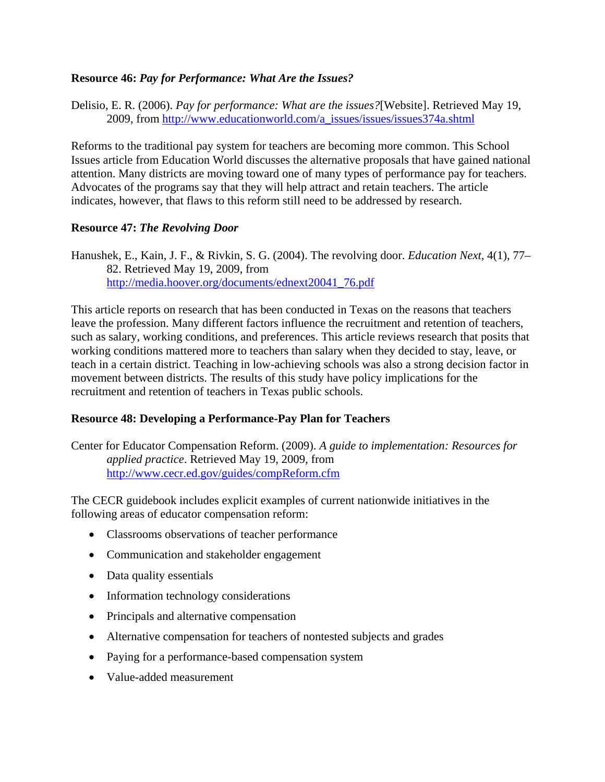#### **Resource 46:** *Pay for Performance: What Are the Issues?*

Delisio, E. R. (2006). *Pay for performance: What are the issues?*[Website]. Retrieved May 19, 2009, from [http://www.educationworld.com/a\\_issues/issues/issues374a.shtml](http://www.educationworld.com/a_issues/issues/issues374a.shtml)

Reforms to the traditional pay system for teachers are becoming more common. This School Issues article from Education World discusses the alternative proposals that have gained national attention. Many districts are moving toward one of many types of performance pay for teachers. Advocates of the programs say that they will help attract and retain teachers. The article indicates, however, that flaws to this reform still need to be addressed by research.

#### **Resource 47:** *The Revolving Door*

Hanushek, E., Kain, J. F., & Rivkin, S. G. (2004). The revolving door. *Education Next,* 4(1), 77– 82. Retrieved May 19, 2009, from [http://media.hoover.org/documents/ednext20041\\_76.pdf](http://media.hoover.org/documents/ednext20041_76.pdf)

This article reports on research that has been conducted in Texas on the reasons that teachers leave the profession. Many different factors influence the recruitment and retention of teachers, such as salary, working conditions, and preferences. This article reviews research that posits that working conditions mattered more to teachers than salary when they decided to stay, leave, or teach in a certain district. Teaching in low-achieving schools was also a strong decision factor in movement between districts. The results of this study have policy implications for the recruitment and retention of teachers in Texas public schools.

#### **Resource 48: Developing a Performance-Pay Plan for Teachers**

Center for Educator Compensation Reform. (2009). *A guide to implementation: Resources for applied practice*. Retrieved May 19, 2009, from <http://www.cecr.ed.gov/guides/compReform.cfm>

The CECR guidebook includes explicit examples of current nationwide initiatives in the following areas of educator compensation reform:

- Classrooms observations of teacher performance
- Communication and stakeholder engagement
- Data quality essentials
- Information technology considerations
- Principals and alternative compensation
- Alternative compensation for teachers of nontested subjects and grades
- Paying for a performance-based compensation system
- Value-added measurement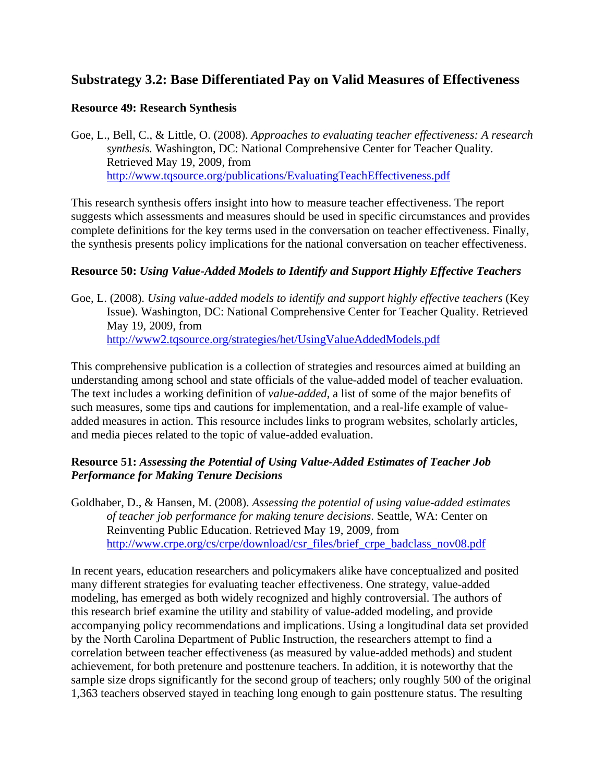### **Substrategy 3.2: Base Differentiated Pay on Valid Measures of Effectiveness**

#### **Resource 49: Research Synthesis**

Goe, L., Bell, C., & Little, O. (2008). *Approaches to evaluating teacher effectiveness: A research synthesis.* Washington, DC: National Comprehensive Center for Teacher Quality*.*  Retrieved May 19, 2009, from <http://www.tqsource.org/publications/EvaluatingTeachEffectiveness.pdf>

This research synthesis offers insight into how to measure teacher effectiveness. The report suggests which assessments and measures should be used in specific circumstances and provides complete definitions for the key terms used in the conversation on teacher effectiveness. Finally, the synthesis presents policy implications for the national conversation on teacher effectiveness.

#### **Resource 50:** *Using Value-Added Models to Identify and Support Highly Effective Teachers*

Goe, L. (2008). *Using value-added models to identify and support highly effective teachers* (Key Issue). Washington, DC: National Comprehensive Center for Teacher Quality. Retrieved May 19, 2009, from <http://www2.tqsource.org/strategies/het/UsingValueAddedModels.pdf>

This comprehensive publication is a collection of strategies and resources aimed at building an understanding among school and state officials of the value-added model of teacher evaluation. The text includes a working definition of *value-added*, a list of some of the major benefits of such measures, some tips and cautions for implementation, and a real-life example of valueadded measures in action. This resource includes links to program websites, scholarly articles, and media pieces related to the topic of value-added evaluation.

#### **Resource 51:** *Assessing the Potential of Using Value-Added Estimates of Teacher Job Performance for Making Tenure Decisions*

Goldhaber, D., & Hansen, M. (2008). *Assessing the potential of using value-added estimates of teacher job performance for making tenure decisions*. Seattle, WA: Center on Reinventing Public Education. Retrieved May 19, 2009, from [http://www.crpe.org/cs/crpe/download/csr\\_files/brief\\_crpe\\_badclass\\_nov08.pdf](http://www.crpe.org/cs/crpe/download/csr_files/brief_crpe_badclass_nov08.pdf)

In recent years, education researchers and policymakers alike have conceptualized and posited many different strategies for evaluating teacher effectiveness. One strategy, value-added modeling, has emerged as both widely recognized and highly controversial. The authors of this research brief examine the utility and stability of value-added modeling, and provide accompanying policy recommendations and implications. Using a longitudinal data set provided by the North Carolina Department of Public Instruction, the researchers attempt to find a correlation between teacher effectiveness (as measured by value-added methods) and student achievement, for both pretenure and posttenure teachers. In addition, it is noteworthy that the sample size drops significantly for the second group of teachers; only roughly 500 of the original 1,363 teachers observed stayed in teaching long enough to gain posttenure status. The resulting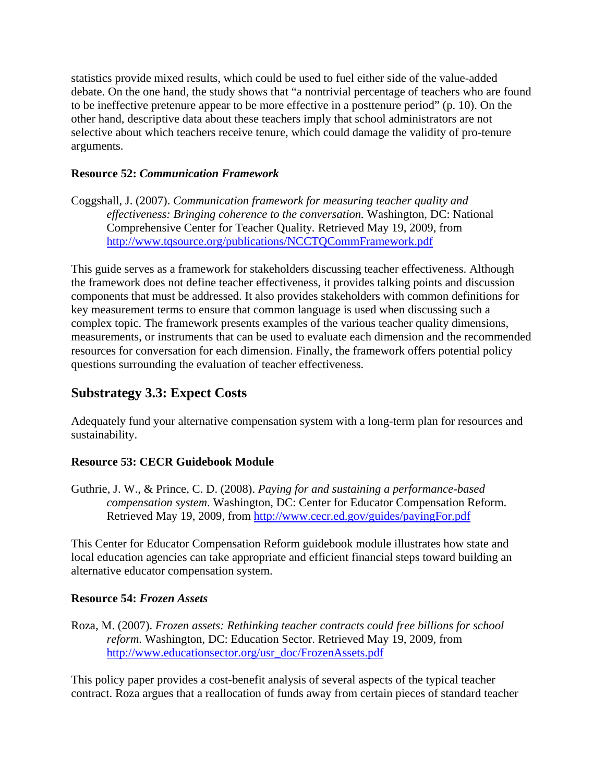statistics provide mixed results, which could be used to fuel either side of the value-added debate. On the one hand, the study shows that "a nontrivial percentage of teachers who are found to be ineffective pretenure appear to be more effective in a posttenure period" (p. 10). On the other hand, descriptive data about these teachers imply that school administrators are not selective about which teachers receive tenure, which could damage the validity of pro-tenure arguments.

#### **Resource 52:** *Communication Framework*

Coggshall, J. (2007). *Communication framework for measuring teacher quality and effectiveness: Bringing coherence to the conversation.* Washington, DC: National Comprehensive Center for Teacher Quality*.* Retrieved May 19, 2009, from <http://www.tqsource.org/publications/NCCTQCommFramework.pdf>

This guide serves as a framework for stakeholders discussing teacher effectiveness. Although the framework does not define teacher effectiveness, it provides talking points and discussion components that must be addressed. It also provides stakeholders with common definitions for key measurement terms to ensure that common language is used when discussing such a complex topic. The framework presents examples of the various teacher quality dimensions, measurements, or instruments that can be used to evaluate each dimension and the recommended resources for conversation for each dimension. Finally, the framework offers potential policy questions surrounding the evaluation of teacher effectiveness.

# **Substrategy 3.3: Expect Costs**

Adequately fund your alternative compensation system with a long-term plan for resources and sustainability.

#### **Resource 53: CECR Guidebook Module**

Guthrie, J. W., & Prince, C. D. (2008). *Paying for and sustaining a performance-based compensation system*. Washington, DC: Center for Educator Compensation Reform. Retrieved May 19, 2009, from <http://www.cecr.ed.gov/guides/payingFor.pdf>

This Center for Educator Compensation Reform guidebook module illustrates how state and local education agencies can take appropriate and efficient financial steps toward building an alternative educator compensation system.

#### **Resource 54:** *Frozen Assets*

Roza, M. (2007). *Frozen assets: Rethinking teacher contracts could free billions for school reform*. Washington, DC: Education Sector. Retrieved May 19, 2009, from [http://www.educationsector.org/usr\\_doc/FrozenAssets.pdf](http://www.educationsector.org/usr_doc/FrozenAssets.pdf)

This policy paper provides a cost-benefit analysis of several aspects of the typical teacher contract. Roza argues that a reallocation of funds away from certain pieces of standard teacher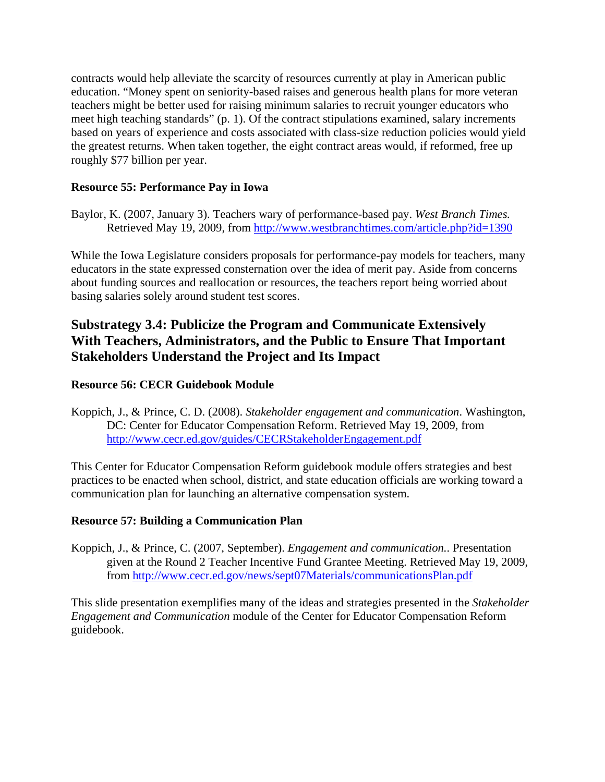contracts would help alleviate the scarcity of resources currently at play in American public education. "Money spent on seniority-based raises and generous health plans for more veteran teachers might be better used for raising minimum salaries to recruit younger educators who meet high teaching standards" (p. 1). Of the contract stipulations examined, salary increments based on years of experience and costs associated with class-size reduction policies would yield the greatest returns. When taken together, the eight contract areas would, if reformed, free up roughly \$77 billion per year.

#### **Resource 55: Performance Pay in Iowa**

Baylor, K. (2007, January 3). Teachers wary of performance-based pay. *West Branch Times.*  Retrieved May 19, 2009, from <http://www.westbranchtimes.com/article.php?id=1390>

While the Iowa Legislature considers proposals for performance-pay models for teachers, many educators in the state expressed consternation over the idea of merit pay. Aside from concerns about funding sources and reallocation or resources, the teachers report being worried about basing salaries solely around student test scores.

# **Substrategy 3.4: Publicize the Program and Communicate Extensively With Teachers, Administrators, and the Public to Ensure That Important Stakeholders Understand the Project and Its Impact**

#### **Resource 56: CECR Guidebook Module**

Koppich, J., & Prince, C. D. (2008). *Stakeholder engagement and communication*. Washington, DC: Center for Educator Compensation Reform. Retrieved May 19, 2009, from <http://www.cecr.ed.gov/guides/CECRStakeholderEngagement.pdf>

This Center for Educator Compensation Reform guidebook module offers strategies and best practices to be enacted when school, district, and state education officials are working toward a communication plan for launching an alternative compensation system.

#### **Resource 57: Building a Communication Plan**

Koppich, J., & Prince, C. (2007, September). *Engagement and communication.*. Presentation given at the Round 2 Teacher Incentive Fund Grantee Meeting. Retrieved May 19, 2009, from<http://www.cecr.ed.gov/news/sept07Materials/communicationsPlan.pdf>

This slide presentation exemplifies many of the ideas and strategies presented in the *Stakeholder Engagement and Communication* module of the Center for Educator Compensation Reform guidebook.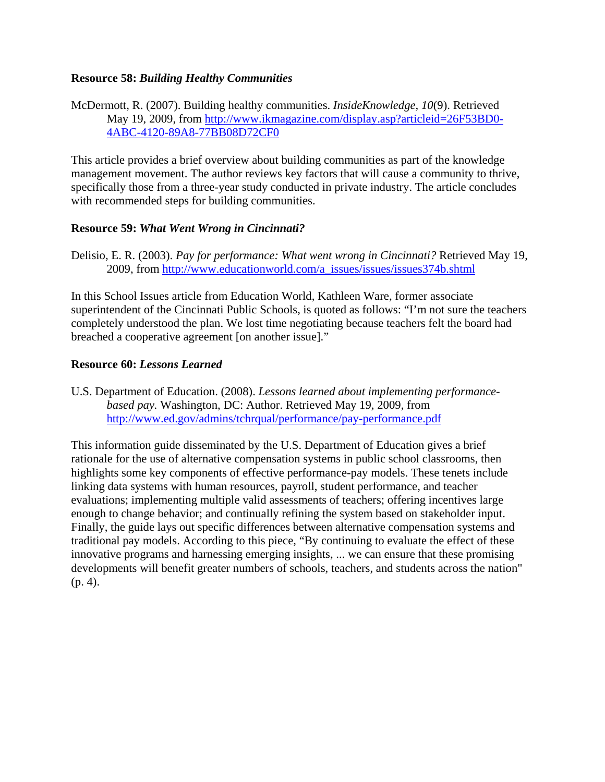#### **Resource 58:** *Building Healthy Communities*

McDermott, R. (2007). Building healthy communities. *InsideKnowledge, 10*(9). Retrieved May 19, 2009, from [http://www.ikmagazine.com/display.asp?articleid=26F53BD0-](http://www.ikmagazine.com/display.asp?articleid=26F53BD0-4ABC-4120-89A8-77BB08D72CF0) [4ABC-4120-89A8-77BB08D72CF0](http://www.ikmagazine.com/display.asp?articleid=26F53BD0-4ABC-4120-89A8-77BB08D72CF0)

This article provides a brief overview about building communities as part of the knowledge management movement. The author reviews key factors that will cause a community to thrive, specifically those from a three-year study conducted in private industry. The article concludes with recommended steps for building communities.

#### **Resource 59:** *What Went Wrong in Cincinnati?*

Delisio, E. R. (2003). *Pay for performance: What went wrong in Cincinnati?* Retrieved May 19, 2009, from [http://www.educationworld.com/a\\_issues/issues/issues374b.shtml](http://www.educationworld.com/a_issues/issues/issues374b.shtml)

In this School Issues article from Education World, Kathleen Ware, former associate superintendent of the Cincinnati Public Schools, is quoted as follows: "I'm not sure the teachers completely understood the plan. We lost time negotiating because teachers felt the board had breached a cooperative agreement [on another issue]."

#### **Resource 60:** *Lessons Learned*

U.S. Department of Education. (2008). *Lessons learned about implementing performancebased pay.* Washington, DC: Author. Retrieved May 19, 2009, from <http://www.ed.gov/admins/tchrqual/performance/pay-performance.pdf>

This information guide disseminated by the U.S. Department of Education gives a brief rationale for the use of alternative compensation systems in public school classrooms, then highlights some key components of effective performance-pay models. These tenets include linking data systems with human resources, payroll, student performance, and teacher evaluations; implementing multiple valid assessments of teachers; offering incentives large enough to change behavior; and continually refining the system based on stakeholder input. Finally, the guide lays out specific differences between alternative compensation systems and traditional pay models. According to this piece, "By continuing to evaluate the effect of these innovative programs and harnessing emerging insights, ... we can ensure that these promising developments will benefit greater numbers of schools, teachers, and students across the nation" (p. 4).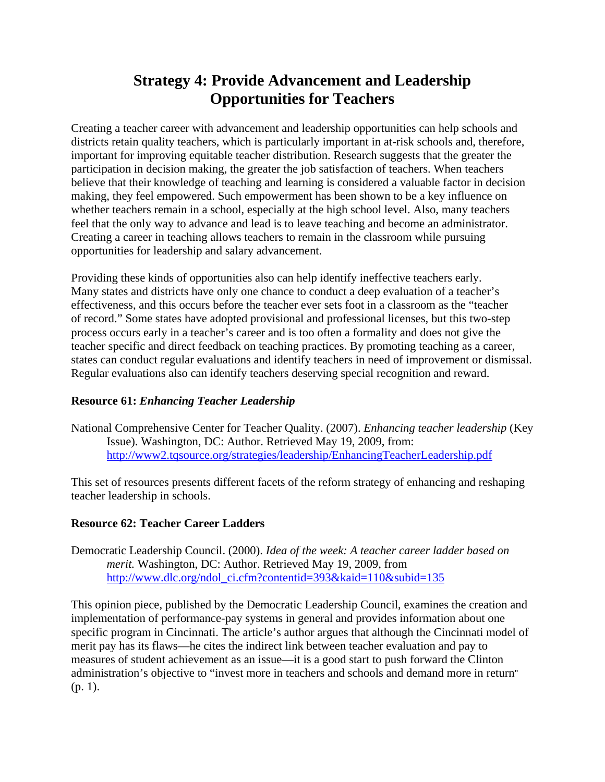# **Strategy 4: Provide Advancement and Leadership Opportunities for Teachers**

Creating a teacher career with advancement and leadership opportunities can help schools and districts retain quality teachers, which is particularly important in at-risk schools and, therefore, important for improving equitable teacher distribution. Research suggests that the greater the participation in decision making, the greater the job satisfaction of teachers. When teachers believe that their knowledge of teaching and learning is considered a valuable factor in decision making, they feel empowered. Such empowerment has been shown to be a key influence on whether teachers remain in a school, especially at the high school level. Also, many teachers feel that the only way to advance and lead is to leave teaching and become an administrator. Creating a career in teaching allows teachers to remain in the classroom while pursuing opportunities for leadership and salary advancement.

Providing these kinds of opportunities also can help identify ineffective teachers early. Many states and districts have only one chance to conduct a deep evaluation of a teacher's effectiveness, and this occurs before the teacher ever sets foot in a classroom as the "teacher of record." Some states have adopted provisional and professional licenses, but this two-step process occurs early in a teacher's career and is too often a formality and does not give the teacher specific and direct feedback on teaching practices. By promoting teaching as a career, states can conduct regular evaluations and identify teachers in need of improvement or dismissal. Regular evaluations also can identify teachers deserving special recognition and reward.

#### **Resource 61:** *Enhancing Teacher Leadership*

National Comprehensive Center for Teacher Quality. (2007). *Enhancing teacher leadership* (Key Issue). Washington, DC: Author. Retrieved May 19, 2009, from: <http://www2.tqsource.org/strategies/leadership/EnhancingTeacherLeadership.pdf>

This set of resources presents different facets of the reform strategy of enhancing and reshaping teacher leadership in schools.

#### **Resource 62: Teacher Career Ladders**

Democratic Leadership Council. (2000). *Idea of the week: A teacher career ladder based on merit.* Washington, DC: Author. Retrieved May 19, 2009, from [http://www.dlc.org/ndol\\_ci.cfm?contentid=393&kaid=110&subid=135](http://www.dlc.org/ndol_ci.cfm?contentid=393&kaid=110&subid=135)

This opinion piece, published by the Democratic Leadership Council, examines the creation and implementation of performance-pay systems in general and provides information about one specific program in Cincinnati. The article's author argues that although the Cincinnati model of merit pay has its flaws—he cites the indirect link between teacher evaluation and pay to measures of student achievement as an issue—it is a good start to push forward the Clinton administration's objective to "invest more in teachers and schools and demand more in return" (p. 1).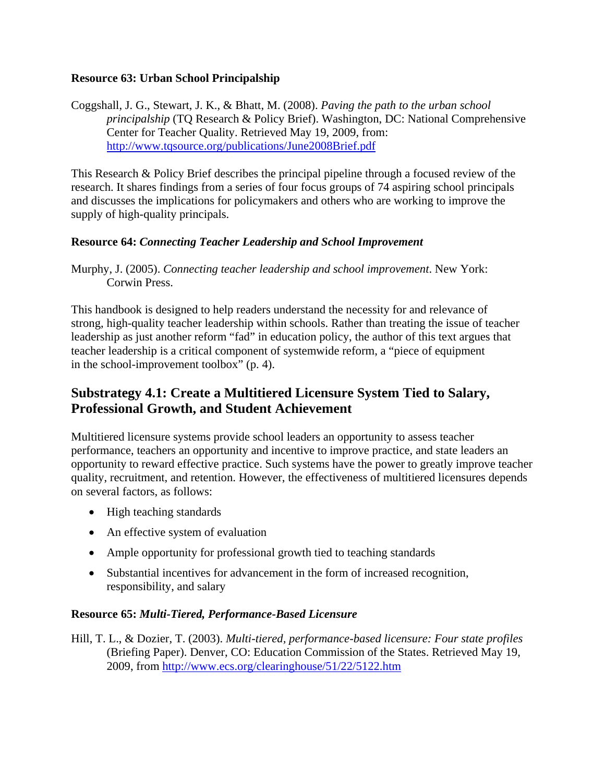#### **Resource 63: Urban School Principalship**

Coggshall, J. G., Stewart, J. K., & Bhatt, M. (2008). *Paving the path to the urban school principalship* (TQ Research & Policy Brief). Washington, DC: National Comprehensive Center for Teacher Quality. Retrieved May 19, 2009, from: <http://www.tqsource.org/publications/June2008Brief.pdf>

This Research & Policy Brief describes the principal pipeline through a focused review of the research. It shares findings from a series of four focus groups of 74 aspiring school principals and discusses the implications for policymakers and others who are working to improve the supply of high-quality principals.

#### **Resource 64:** *Connecting Teacher Leadership and School Improvement*

Murphy, J. (2005). *Connecting teacher leadership and school improvement*. New York: Corwin Press.

This handbook is designed to help readers understand the necessity for and relevance of strong, high-quality teacher leadership within schools. Rather than treating the issue of teacher leadership as just another reform "fad" in education policy, the author of this text argues that teacher leadership is a critical component of systemwide reform, a "piece of equipment in the school-improvement toolbox" (p. 4).

# **Substrategy 4.1: Create a Multitiered Licensure System Tied to Salary, Professional Growth, and Student Achievement**

Multitiered licensure systems provide school leaders an opportunity to assess teacher performance, teachers an opportunity and incentive to improve practice, and state leaders an opportunity to reward effective practice. Such systems have the power to greatly improve teacher quality, recruitment, and retention. However, the effectiveness of multitiered licensures depends on several factors, as follows:

- High teaching standards
- An effective system of evaluation
- Ample opportunity for professional growth tied to teaching standards
- Substantial incentives for advancement in the form of increased recognition, responsibility, and salary

#### **Resource 65:** *Multi-Tiered, Performance-Based Licensure*

Hill, T. L., & Dozier, T. (2003). *Multi-tiered, performance-based licensure: Four state profiles*  (Briefing Paper). Denver, CO: Education Commission of the States. Retrieved May 19, 2009, from<http://www.ecs.org/clearinghouse/51/22/5122.htm>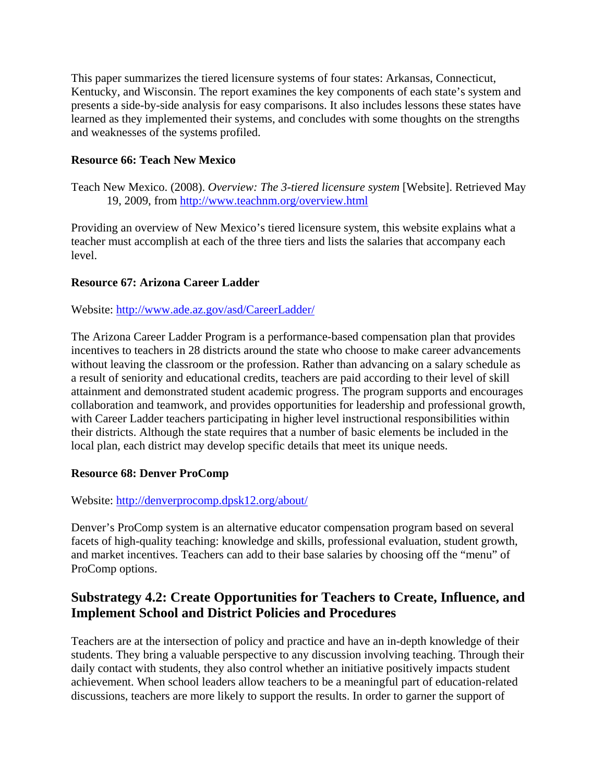This paper summarizes the tiered licensure systems of four states: Arkansas, Connecticut, Kentucky, and Wisconsin. The report examines the key components of each state's system and presents a side-by-side analysis for easy comparisons. It also includes lessons these states have learned as they implemented their systems, and concludes with some thoughts on the strengths and weaknesses of the systems profiled.

#### **Resource 66: Teach New Mexico**

Teach New Mexico. (2008). *Overview: The 3-tiered licensure system* [Website]. Retrieved May 19, 2009, from<http://www.teachnm.org/overview.html>

Providing an overview of New Mexico's tiered licensure system, this website explains what a teacher must accomplish at each of the three tiers and lists the salaries that accompany each level.

#### **Resource 67: Arizona Career Ladder**

Website: <http://www.ade.az.gov/asd/CareerLadder/>

The Arizona Career Ladder Program is a performance-based compensation plan that provides incentives to teachers in 28 districts around the state who choose to make career advancements without leaving the classroom or the profession. Rather than advancing on a salary schedule as a result of seniority and educational credits, teachers are paid according to their level of skill attainment and demonstrated student academic progress. The program supports and encourages collaboration and teamwork, and provides opportunities for leadership and professional growth, with Career Ladder teachers participating in higher level instructional responsibilities within their districts. Although the state requires that a number of basic elements be included in the local plan, each district may develop specific details that meet its unique needs.

#### **Resource 68: Denver ProComp**

Website: <http://denverprocomp.dpsk12.org/about/>

Denver's ProComp system is an alternative educator compensation program based on several facets of high-quality teaching: knowledge and skills, professional evaluation, student growth, and market incentives. Teachers can add to their base salaries by choosing off the "menu" of ProComp options.

### **Substrategy 4.2: Create Opportunities for Teachers to Create, Influence, and Implement School and District Policies and Procedures**

Teachers are at the intersection of policy and practice and have an in-depth knowledge of their students. They bring a valuable perspective to any discussion involving teaching. Through their daily contact with students, they also control whether an initiative positively impacts student achievement. When school leaders allow teachers to be a meaningful part of education-related discussions, teachers are more likely to support the results. In order to garner the support of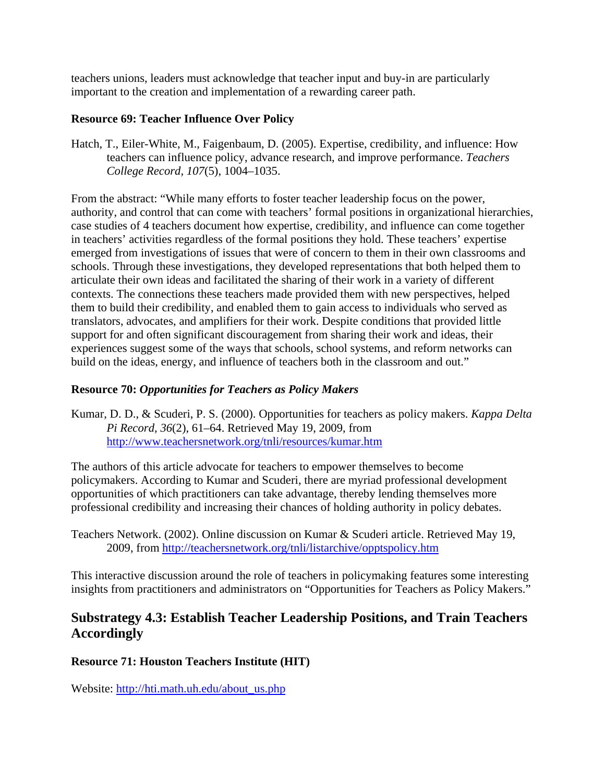teachers unions, leaders must acknowledge that teacher input and buy-in are particularly important to the creation and implementation of a rewarding career path.

#### **Resource 69: Teacher Influence Over Policy**

Hatch, T., Eiler-White, M., Faigenbaum, D. (2005). Expertise, credibility, and influence: How teachers can influence policy, advance research, and improve performance. *Teachers College Record, 107*(5), 1004–1035.

From the abstract: "While many efforts to foster teacher leadership focus on the power, authority, and control that can come with teachers' formal positions in organizational hierarchies, case studies of 4 teachers document how expertise, credibility, and influence can come together in teachers' activities regardless of the formal positions they hold. These teachers' expertise emerged from investigations of issues that were of concern to them in their own classrooms and schools. Through these investigations, they developed representations that both helped them to articulate their own ideas and facilitated the sharing of their work in a variety of different contexts. The connections these teachers made provided them with new perspectives, helped them to build their credibility, and enabled them to gain access to individuals who served as translators, advocates, and amplifiers for their work. Despite conditions that provided little support for and often significant discouragement from sharing their work and ideas, their experiences suggest some of the ways that schools, school systems, and reform networks can build on the ideas, energy, and influence of teachers both in the classroom and out."

#### **Resource 70:** *Opportunities for Teachers as Policy Makers*

Kumar, D. D., & Scuderi, P. S. (2000). Opportunities for teachers as policy makers. *Kappa Delta Pi Record, 36*(2), 61–64. Retrieved May 19, 2009, from <http://www.teachersnetwork.org/tnli/resources/kumar.htm>

The authors of this article advocate for teachers to empower themselves to become policymakers. According to Kumar and Scuderi, there are myriad professional development opportunities of which practitioners can take advantage, thereby lending themselves more professional credibility and increasing their chances of holding authority in policy debates.

Teachers Network. (2002). Online discussion on Kumar & Scuderi article. Retrieved May 19, 2009, from<http://teachersnetwork.org/tnli/listarchive/opptspolicy.htm>

This interactive discussion around the role of teachers in policymaking features some interesting insights from practitioners and administrators on "Opportunities for Teachers as Policy Makers."

### **Substrategy 4.3: Establish Teacher Leadership Positions, and Train Teachers Accordingly**

#### **Resource 71: Houston Teachers Institute (HIT)**

Website: [http://hti.math.uh.edu/about\\_us.php](http://hti.math.uh.edu/about_us.php)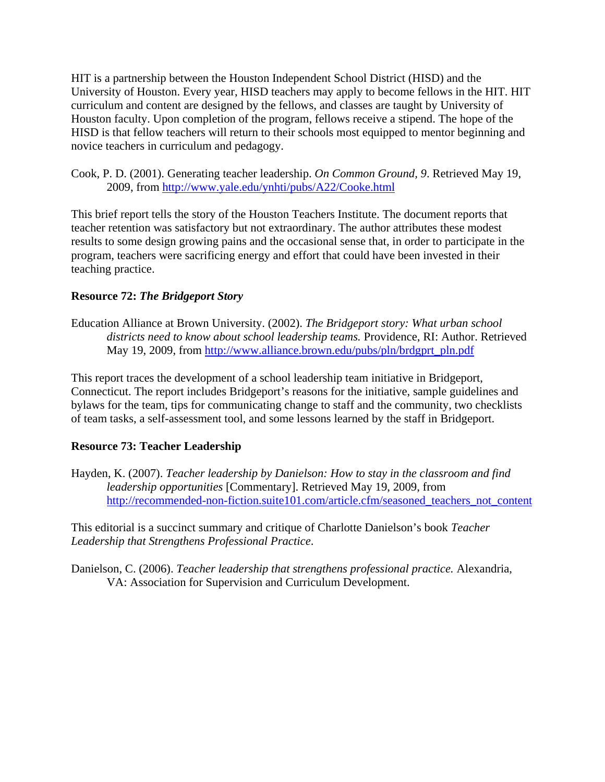HIT is a partnership between the Houston Independent School District (HISD) and the University of Houston. Every year, HISD teachers may apply to become fellows in the HIT. HIT curriculum and content are designed by the fellows, and classes are taught by University of Houston faculty. Upon completion of the program, fellows receive a stipend. The hope of the HISD is that fellow teachers will return to their schools most equipped to mentor beginning and novice teachers in curriculum and pedagogy.

Cook, P. D. (2001). Generating teacher leadership. *On Common Ground, 9*. Retrieved May 19, 2009, from<http://www.yale.edu/ynhti/pubs/A22/Cooke.html>

This brief report tells the story of the Houston Teachers Institute. The document reports that teacher retention was satisfactory but not extraordinary. The author attributes these modest results to some design growing pains and the occasional sense that, in order to participate in the program, teachers were sacrificing energy and effort that could have been invested in their teaching practice.

#### **Resource 72:** *The Bridgeport Story*

Education Alliance at Brown University. (2002). *The Bridgeport story: What urban school districts need to know about school leadership teams.* Providence, RI: Author. Retrieved May 19, 2009, from [http://www.alliance.brown.edu/pubs/pln/brdgprt\\_pln.pdf](http://www.alliance.brown.edu/pubs/pln/brdgprt_pln.pdf)

This report traces the development of a school leadership team initiative in Bridgeport, Connecticut. The report includes Bridgeport's reasons for the initiative, sample guidelines and bylaws for the team, tips for communicating change to staff and the community, two checklists of team tasks, a self-assessment tool, and some lessons learned by the staff in Bridgeport.

#### **Resource 73: Teacher Leadership**

Hayden, K. (2007). *Teacher leadership by Danielson: How to stay in the classroom and find leadership opportunities* [Commentary]. Retrieved May 19, 2009, from [http://recommended-non-fiction.suite101.com/article.cfm/seasoned\\_teachers\\_not\\_content](http://recommended-non-fiction.suite101.com/article.cfm/seasoned_teachers_not_content)

This editorial is a succinct summary and critique of Charlotte Danielson's book *Teacher Leadership that Strengthens Professional Practice*.

Danielson, C. (2006). *Teacher leadership that strengthens professional practice.* Alexandria, VA: Association for Supervision and Curriculum Development.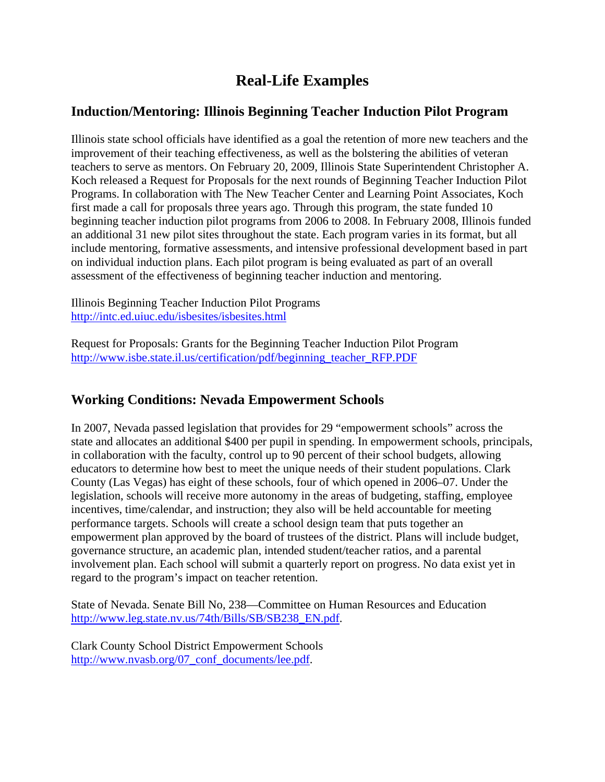# **Real-Life Examples**

### **Induction/Mentoring: Illinois Beginning Teacher Induction Pilot Program**

Illinois state school officials have identified as a goal the retention of more new teachers and the improvement of their teaching effectiveness, as well as the bolstering the abilities of veteran teachers to serve as mentors. On February 20, 2009, Illinois State Superintendent Christopher A. Koch released a Request for Proposals for the next rounds of Beginning Teacher Induction Pilot Programs. In collaboration with The New Teacher Center and Learning Point Associates, Koch first made a call for proposals three years ago. Through this program, the state funded 10 beginning teacher induction pilot programs from 2006 to 2008. In February 2008, Illinois funded an additional 31 new pilot sites throughout the state. Each program varies in its format, but all include mentoring, formative assessments, and intensive professional development based in part on individual induction plans. Each pilot program is being evaluated as part of an overall assessment of the effectiveness of beginning teacher induction and mentoring.

Illinois Beginning Teacher Induction Pilot Programs <http://intc.ed.uiuc.edu/isbesites/isbesites.html>

Request for Proposals: Grants for the Beginning Teacher Induction Pilot Program [http://www.isbe.state.il.us/certification/pdf/beginning\\_teacher\\_RFP.PDF](http://www.isbe.state.il.us/certification/pdf/beginning_teacher_RFP.PDF)

# **Working Conditions: Nevada Empowerment Schools**

In 2007, Nevada passed legislation that provides for 29 "empowerment schools" across the state and allocates an additional \$400 per pupil in spending. In empowerment schools, principals, in collaboration with the faculty, control up to 90 percent of their school budgets, allowing educators to determine how best to meet the unique needs of their student populations. Clark County (Las Vegas) has eight of these schools, four of which opened in 2006–07. Under the legislation, schools will receive more autonomy in the areas of budgeting, staffing, employee incentives, time/calendar, and instruction; they also will be held accountable for meeting performance targets. Schools will create a school design team that puts together an empowerment plan approved by the board of trustees of the district. Plans will include budget, governance structure, an academic plan, intended student/teacher ratios, and a parental involvement plan. Each school will submit a quarterly report on progress. No data exist yet in regard to the program's impact on teacher retention.

State of Nevada. Senate Bill No, 238—Committee on Human Resources and Education [http://www.leg.state.nv.us/74th/Bills/SB/SB238\\_EN.pdf.](http://www.leg.state.nv.us/74th/Bills/SB/SB238_EN.pdf)

Clark County School District Empowerment Schools [http://www.nvasb.org/07\\_conf\\_documents/lee.pdf.](http://www.nvasb.org/07_conf_documents/lee.pdf)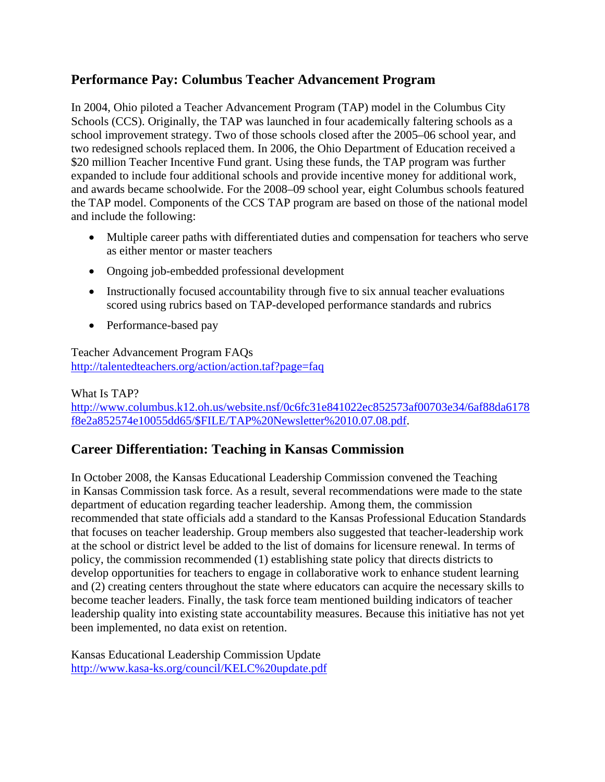### **Performance Pay: Columbus Teacher Advancement Program**

In 2004, Ohio piloted a Teacher Advancement Program (TAP) model in the Columbus City Schools (CCS). Originally, the TAP was launched in four academically faltering schools as a school improvement strategy. Two of those schools closed after the 2005–06 school year, and two redesigned schools replaced them. In 2006, the Ohio Department of Education received a \$20 million Teacher Incentive Fund grant. Using these funds, the TAP program was further expanded to include four additional schools and provide incentive money for additional work, and awards became schoolwide. For the 2008–09 school year, eight Columbus schools featured the TAP model. Components of the CCS TAP program are based on those of the national model and include the following:

- Multiple career paths with differentiated duties and compensation for teachers who serve as either mentor or master teachers
- Ongoing job-embedded professional development
- Instructionally focused accountability through five to six annual teacher evaluations scored using rubrics based on TAP-developed performance standards and rubrics
- Performance-based pay

Teacher Advancement Program FAQs <http://talentedteachers.org/action/action.taf?page=faq>

What Is TAP? [http://www.columbus.k12.oh.us/website.nsf/0c6fc31e841022ec852573af00703e34/6af88da6178](http://www.columbus.k12.oh.us/website.nsf/0c6fc31e841022ec852573af00703e34/6af88da6178f8e2a852574e10055dd65/$FILE/TAP%20Newsletter%2010.07.08.pdf) [f8e2a852574e10055dd65/\\$FILE/TAP%20Newsletter%2010.07.08.pdf.](http://www.columbus.k12.oh.us/website.nsf/0c6fc31e841022ec852573af00703e34/6af88da6178f8e2a852574e10055dd65/$FILE/TAP%20Newsletter%2010.07.08.pdf)

# **Career Differentiation: Teaching in Kansas Commission**

In October 2008, the Kansas Educational Leadership Commission convened the Teaching in Kansas Commission task force. As a result, several recommendations were made to the state department of education regarding teacher leadership. Among them, the commission recommended that state officials add a standard to the Kansas Professional Education Standards that focuses on teacher leadership. Group members also suggested that teacher-leadership work at the school or district level be added to the list of domains for licensure renewal. In terms of policy, the commission recommended (1) establishing state policy that directs districts to develop opportunities for teachers to engage in collaborative work to enhance student learning and (2) creating centers throughout the state where educators can acquire the necessary skills to become teacher leaders. Finally, the task force team mentioned building indicators of teacher leadership quality into existing state accountability measures. Because this initiative has not yet been implemented, no data exist on retention.

Kansas Educational Leadership Commission Update <http://www.kasa-ks.org/council/KELC%20update.pdf>